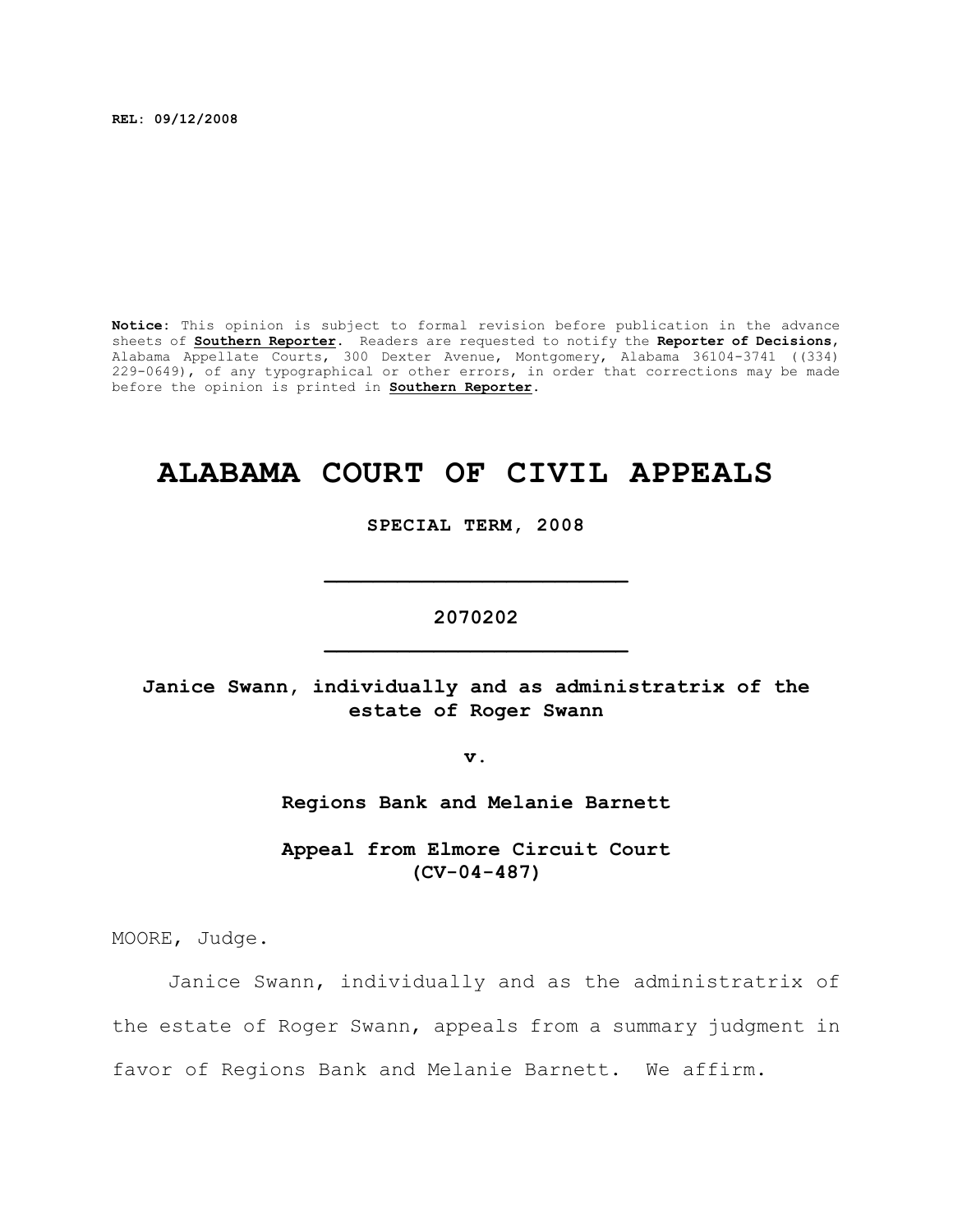**REL: 09/12/2008**

**Notice:** This opinion is subject to formal revision before publication in the advance sheets of **Southern Reporter**. Readers are requested to notify the **Reporter of Decisions**, Alabama Appellate Courts, 300 Dexter Avenue, Montgomery, Alabama 36104-3741 ((334) 229-0649), of any typographical or other errors, in order that corrections may be made before the opinion is printed in **Southern Reporter**.

# **ALABAMA COURT OF CIVIL APPEALS**

**SPECIAL TERM, 2008**

**2070202 \_\_\_\_\_\_\_\_\_\_\_\_\_\_\_\_\_\_\_\_\_\_\_\_\_**

**\_\_\_\_\_\_\_\_\_\_\_\_\_\_\_\_\_\_\_\_\_\_\_\_\_**

# **Janice Swann, individually and as administratrix of the estate of Roger Swann**

**v.**

**Regions Bank and Melanie Barnett**

**Appeal from Elmore Circuit Court (CV-04-487)**

MOORE, Judge.

Janice Swann, individually and as the administratrix of the estate of Roger Swann, appeals from a summary judgment in favor of Regions Bank and Melanie Barnett. We affirm.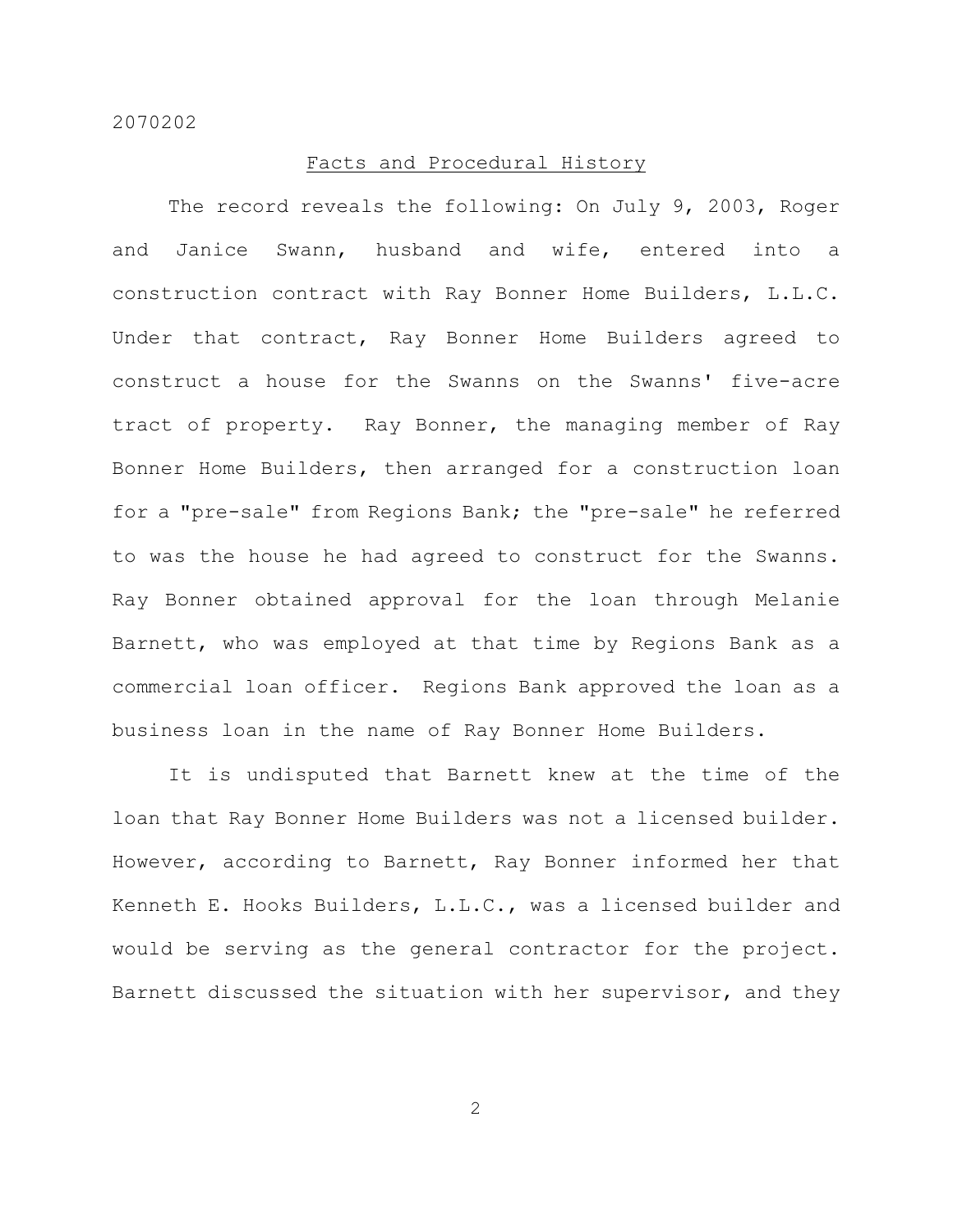#### Facts and Procedural History

The record reveals the following: On July 9, 2003, Roger and Janice Swann, husband and wife, entered into a construction contract with Ray Bonner Home Builders, L.L.C. Under that contract, Ray Bonner Home Builders agreed to construct a house for the Swanns on the Swanns' five-acre tract of property. Ray Bonner, the managing member of Ray Bonner Home Builders, then arranged for a construction loan for a "pre-sale" from Regions Bank; the "pre-sale" he referred to was the house he had agreed to construct for the Swanns. Ray Bonner obtained approval for the loan through Melanie Barnett, who was employed at that time by Regions Bank as a commercial loan officer. Regions Bank approved the loan as a business loan in the name of Ray Bonner Home Builders.

It is undisputed that Barnett knew at the time of the loan that Ray Bonner Home Builders was not a licensed builder. However, according to Barnett, Ray Bonner informed her that Kenneth E. Hooks Builders, L.L.C., was a licensed builder and would be serving as the general contractor for the project. Barnett discussed the situation with her supervisor, and they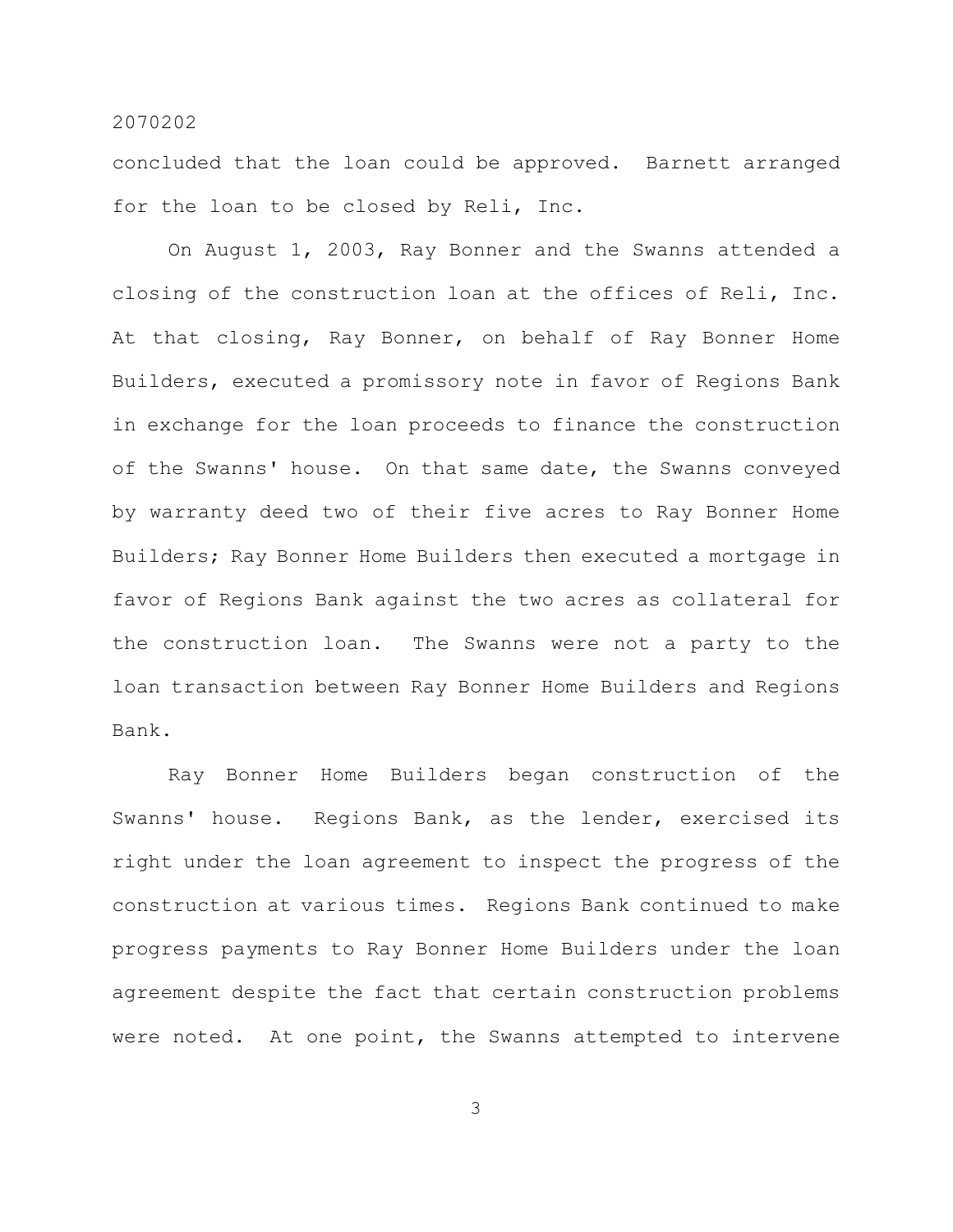concluded that the loan could be approved. Barnett arranged for the loan to be closed by Reli, Inc.

On August 1, 2003, Ray Bonner and the Swanns attended a closing of the construction loan at the offices of Reli, Inc. At that closing, Ray Bonner, on behalf of Ray Bonner Home Builders, executed a promissory note in favor of Regions Bank in exchange for the loan proceeds to finance the construction of the Swanns' house. On that same date, the Swanns conveyed by warranty deed two of their five acres to Ray Bonner Home Builders; Ray Bonner Home Builders then executed a mortgage in favor of Regions Bank against the two acres as collateral for the construction loan. The Swanns were not a party to the loan transaction between Ray Bonner Home Builders and Regions Bank.

Ray Bonner Home Builders began construction of the Swanns' house. Regions Bank, as the lender, exercised its right under the loan agreement to inspect the progress of the construction at various times. Regions Bank continued to make progress payments to Ray Bonner Home Builders under the loan agreement despite the fact that certain construction problems were noted. At one point, the Swanns attempted to intervene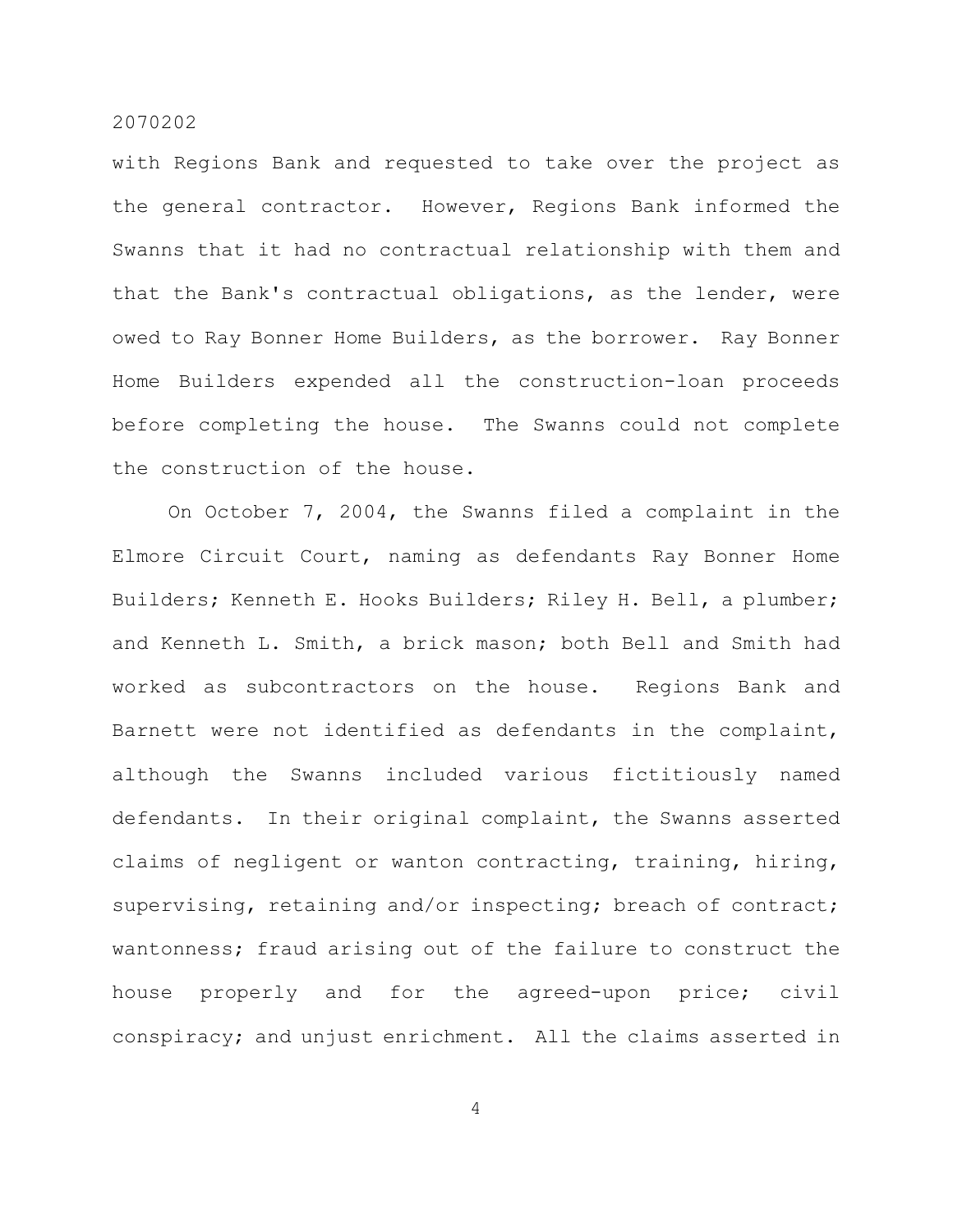with Regions Bank and requested to take over the project as the general contractor. However, Regions Bank informed the Swanns that it had no contractual relationship with them and that the Bank's contractual obligations, as the lender, were owed to Ray Bonner Home Builders, as the borrower. Ray Bonner Home Builders expended all the construction-loan proceeds before completing the house. The Swanns could not complete the construction of the house.

On October 7, 2004, the Swanns filed a complaint in the Elmore Circuit Court, naming as defendants Ray Bonner Home Builders; Kenneth E. Hooks Builders; Riley H. Bell, a plumber; and Kenneth L. Smith, a brick mason; both Bell and Smith had worked as subcontractors on the house. Regions Bank and Barnett were not identified as defendants in the complaint, although the Swanns included various fictitiously named defendants. In their original complaint, the Swanns asserted claims of negligent or wanton contracting, training, hiring, supervising, retaining and/or inspecting; breach of contract; wantonness; fraud arising out of the failure to construct the house properly and for the agreed-upon price; civil conspiracy; and unjust enrichment. All the claims asserted in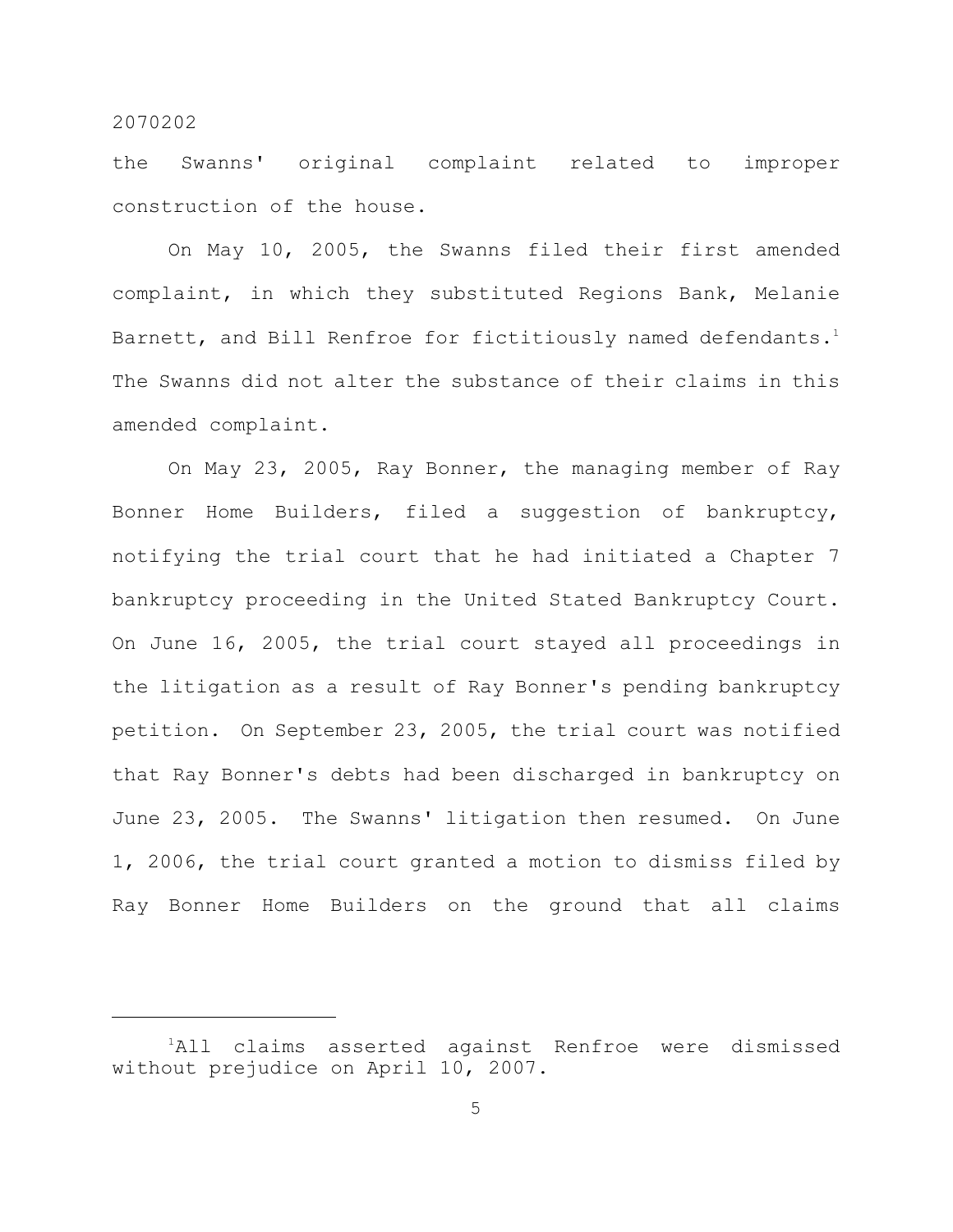the Swanns' original complaint related to improper construction of the house.

On May 10, 2005, the Swanns filed their first amended complaint, in which they substituted Regions Bank, Melanie Barnett, and Bill Renfroe for fictitiously named defendants. $^{\text{1}}$ The Swanns did not alter the substance of their claims in this amended complaint.

On May 23, 2005, Ray Bonner, the managing member of Ray Bonner Home Builders, filed a suggestion of bankruptcy, notifying the trial court that he had initiated a Chapter 7 bankruptcy proceeding in the United Stated Bankruptcy Court. On June 16, 2005, the trial court stayed all proceedings in the litigation as a result of Ray Bonner's pending bankruptcy petition. On September 23, 2005, the trial court was notified that Ray Bonner's debts had been discharged in bankruptcy on June 23, 2005. The Swanns' litigation then resumed. On June 1, 2006, the trial court granted a motion to dismiss filed by Ray Bonner Home Builders on the ground that all claims

<sup>&</sup>lt;sup>1</sup>All claims asserted against Renfroe were dismissed without prejudice on April 10, 2007.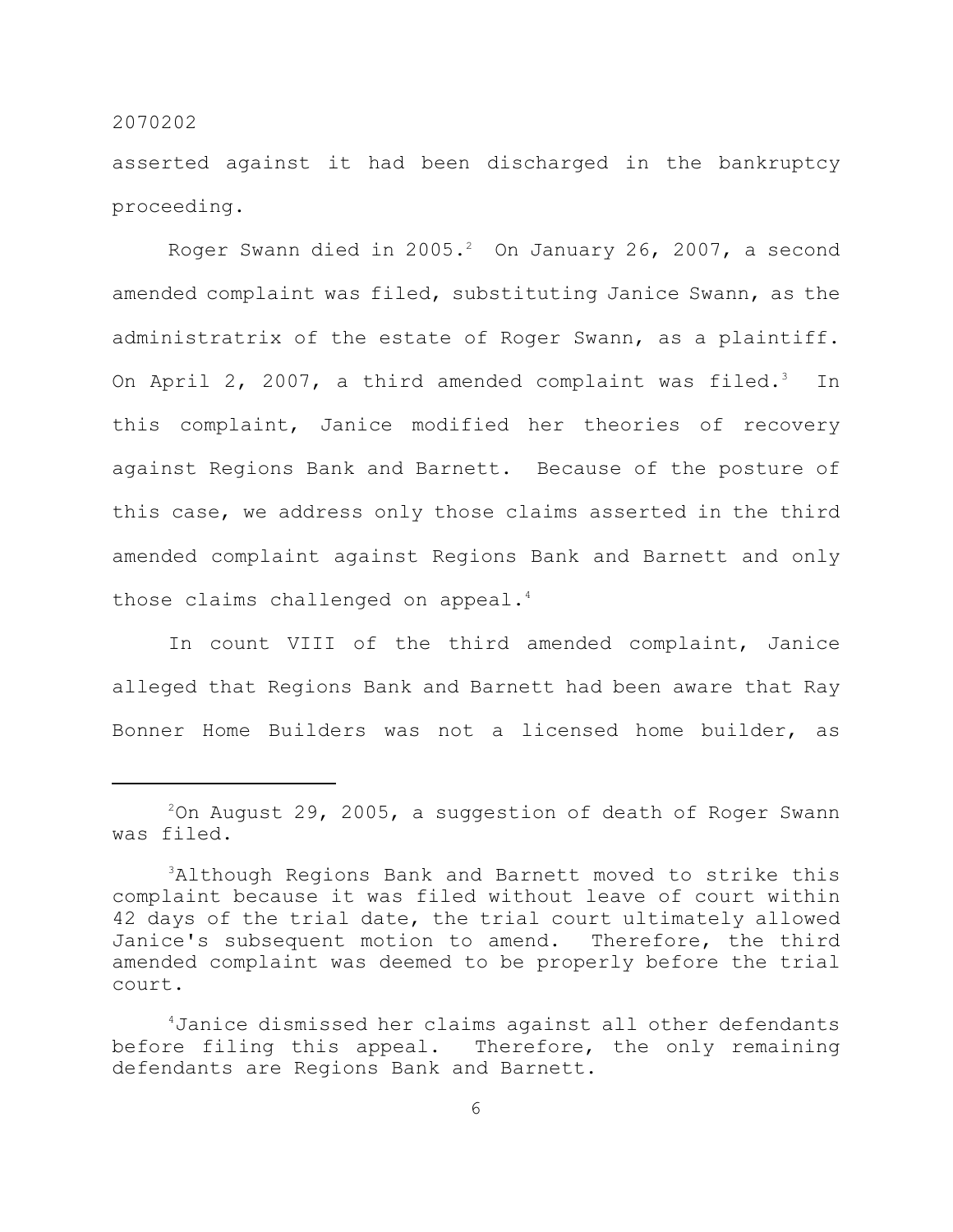asserted against it had been discharged in the bankruptcy proceeding.

Roger Swann died in 2005. $^2$  On January 26, 2007, a second amended complaint was filed, substituting Janice Swann, as the administratrix of the estate of Roger Swann, as a plaintiff. On April 2, 2007, a third amended complaint was filed.3 In this complaint, Janice modified her theories of recovery against Regions Bank and Barnett. Because of the posture of this case, we address only those claims asserted in the third amended complaint against Regions Bank and Barnett and only those claims challenged on appeal. 4

In count VIII of the third amended complaint, Janice alleged that Regions Bank and Barnett had been aware that Ray Bonner Home Builders was not a licensed home builder, as

 $2$ On August 29, 2005, a suggestion of death of Roger Swann was filed.

<sup>&</sup>lt;sup>3</sup>Although Regions Bank and Barnett moved to strike this complaint because it was filed without leave of court within 42 days of the trial date, the trial court ultimately allowed Janice's subsequent motion to amend. Therefore, the third amended complaint was deemed to be properly before the trial court.

Janice dismissed her claims against all other defendants 4 before filing this appeal. Therefore, the only remaining defendants are Regions Bank and Barnett.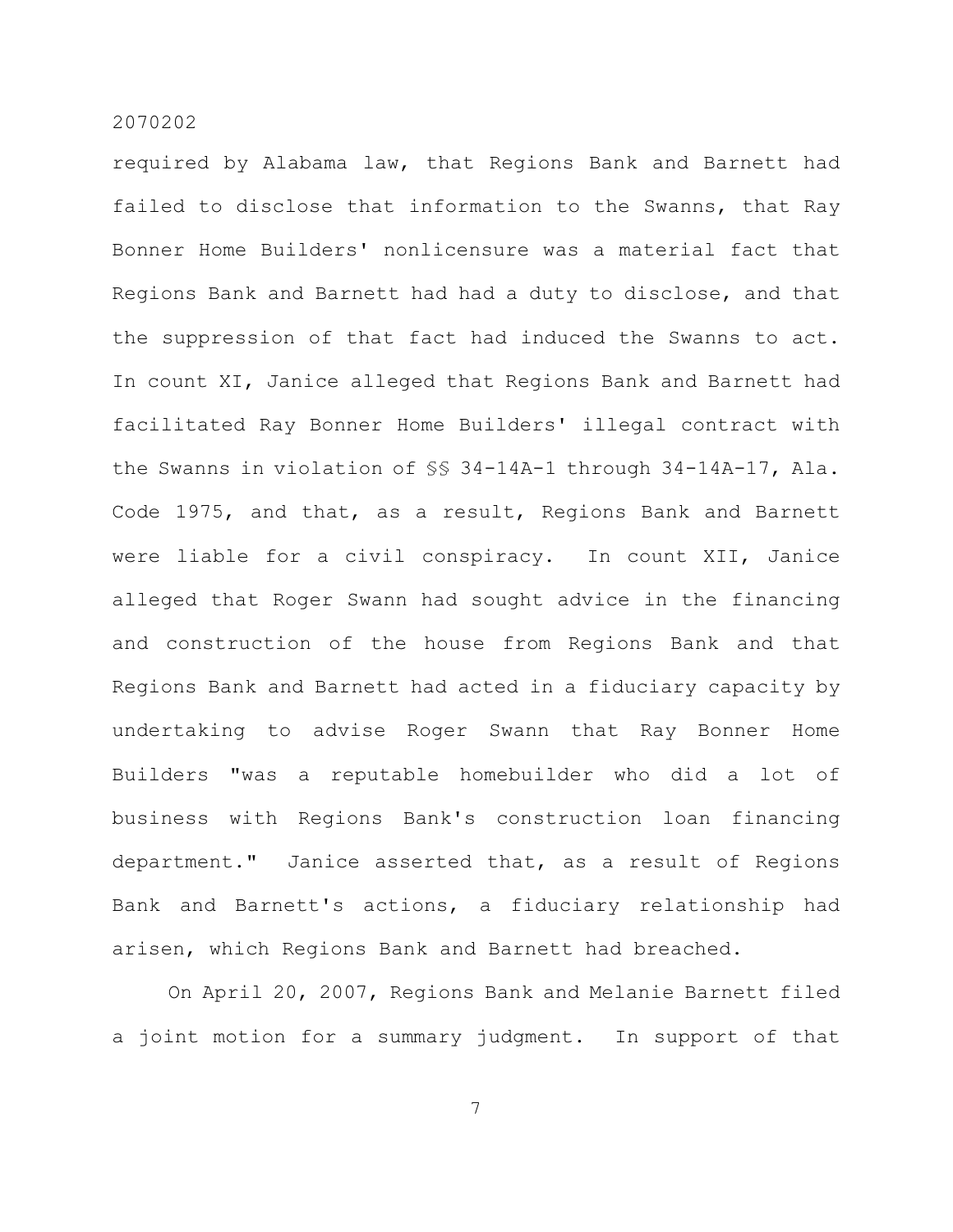required by Alabama law, that Regions Bank and Barnett had failed to disclose that information to the Swanns, that Ray Bonner Home Builders' nonlicensure was a material fact that Regions Bank and Barnett had had a duty to disclose, and that the suppression of that fact had induced the Swanns to act. In count XI, Janice alleged that Regions Bank and Barnett had facilitated Ray Bonner Home Builders' illegal contract with the Swanns in violation of §§ 34-14A-1 through 34-14A-17, Ala. Code 1975, and that, as a result, Regions Bank and Barnett were liable for a civil conspiracy. In count XII, Janice alleged that Roger Swann had sought advice in the financing and construction of the house from Regions Bank and that Regions Bank and Barnett had acted in a fiduciary capacity by undertaking to advise Roger Swann that Ray Bonner Home Builders "was a reputable homebuilder who did a lot of business with Regions Bank's construction loan financing department." Janice asserted that, as a result of Regions Bank and Barnett's actions, a fiduciary relationship had arisen, which Regions Bank and Barnett had breached.

On April 20, 2007, Regions Bank and Melanie Barnett filed a joint motion for a summary judgment. In support of that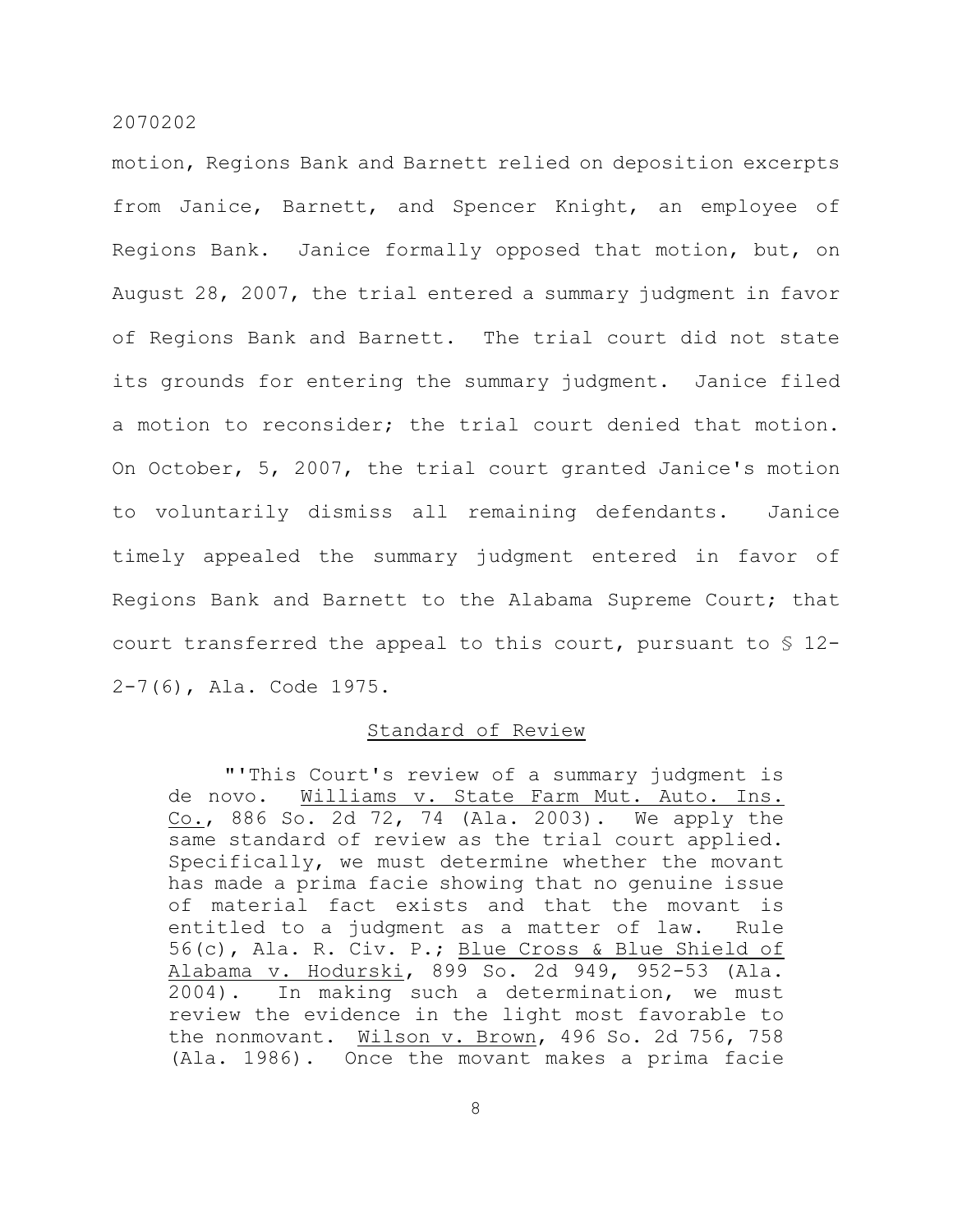motion, Regions Bank and Barnett relied on deposition excerpts from Janice, Barnett, and Spencer Knight, an employee of Regions Bank. Janice formally opposed that motion, but, on August 28, 2007, the trial entered a summary judgment in favor of Regions Bank and Barnett. The trial court did not state its grounds for entering the summary judgment. Janice filed a motion to reconsider; the trial court denied that motion. On October, 5, 2007, the trial court granted Janice's motion to voluntarily dismiss all remaining defendants. Janice timely appealed the summary judgment entered in favor of Regions Bank and Barnett to the Alabama Supreme Court; that court transferred the appeal to this court, pursuant to § 12- 2-7(6), Ala. Code 1975.

# Standard of Review

"'This Court's review of a summary judgment is de novo. Williams v. State Farm Mut. Auto. Ins. Co., 886 So. 2d 72, 74 (Ala. 2003). We apply the same standard of review as the trial court applied. Specifically, we must determine whether the movant has made a prima facie showing that no genuine issue of material fact exists and that the movant is entitled to a judgment as a matter of law. Rule 56(c), Ala. R. Civ. P.; Blue Cross & Blue Shield of Alabama v. Hodurski, 899 So. 2d 949, 952-53 (Ala. 2004). In making such a determination, we must review the evidence in the light most favorable to the nonmovant. Wilson v. Brown, 496 So. 2d 756, 758 (Ala. 1986). Once the movant makes a prima facie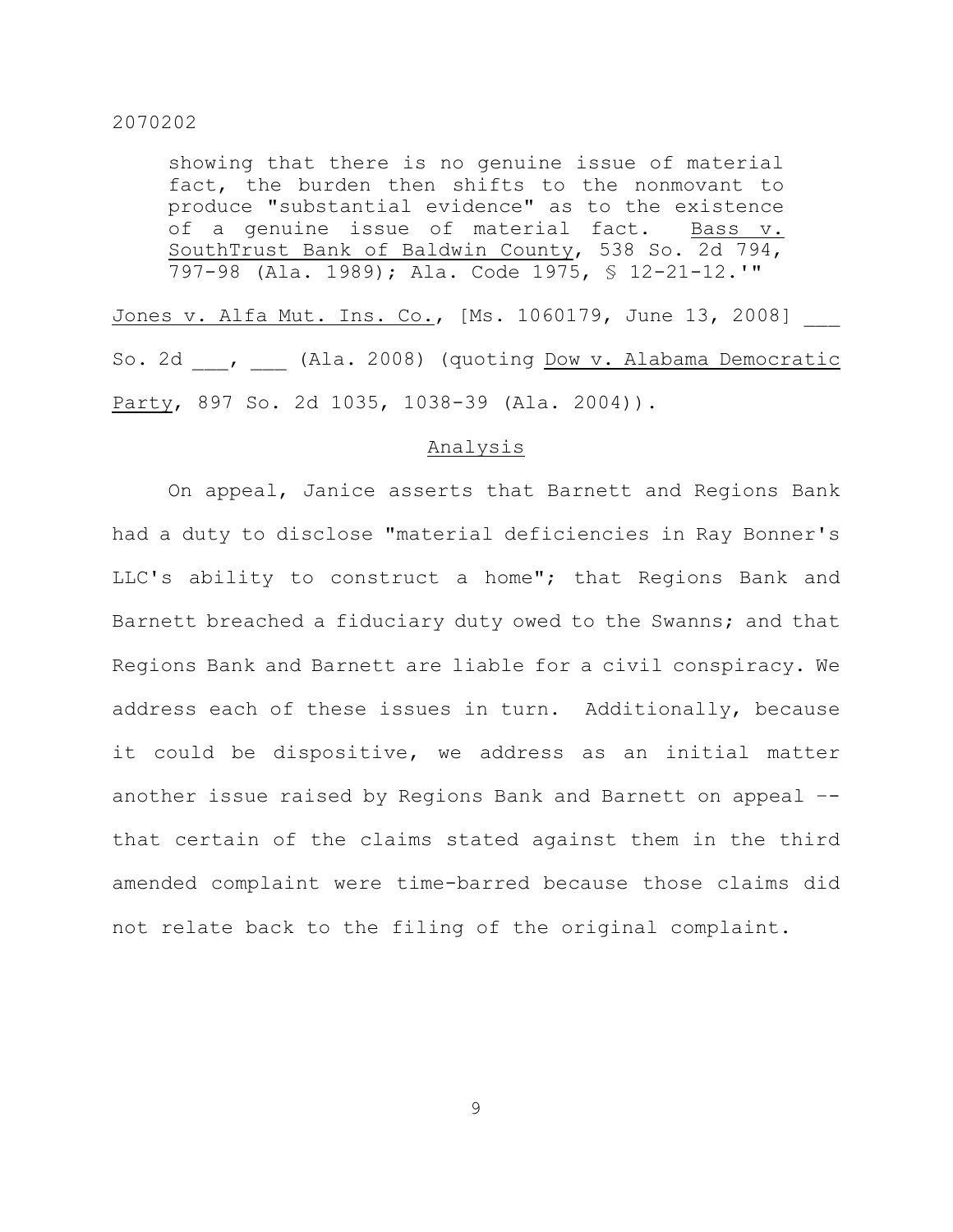showing that there is no genuine issue of material fact, the burden then shifts to the nonmovant to produce "substantial evidence" as to the existence of a genuine issue of material fact. Bass v. SouthTrust Bank of Baldwin County, 538 So. 2d 794, 797-98 (Ala. 1989); Ala. Code 1975, § 12-21-12.'"

Jones v. Alfa Mut. Ins. Co., [Ms. 1060179, June 13, 2008] \_\_\_ So. 2d . (Ala. 2008) (quoting Dow v. Alabama Democratic Party, 897 So. 2d 1035, 1038-39 (Ala. 2004)).

#### Analysis

On appeal, Janice asserts that Barnett and Regions Bank had a duty to disclose "material deficiencies in Ray Bonner's LLC's ability to construct a home"; that Regions Bank and Barnett breached a fiduciary duty owed to the Swanns; and that Regions Bank and Barnett are liable for a civil conspiracy. We address each of these issues in turn. Additionally, because it could be dispositive, we address as an initial matter another issue raised by Regions Bank and Barnett on appeal – that certain of the claims stated against them in the third amended complaint were time-barred because those claims did not relate back to the filing of the original complaint.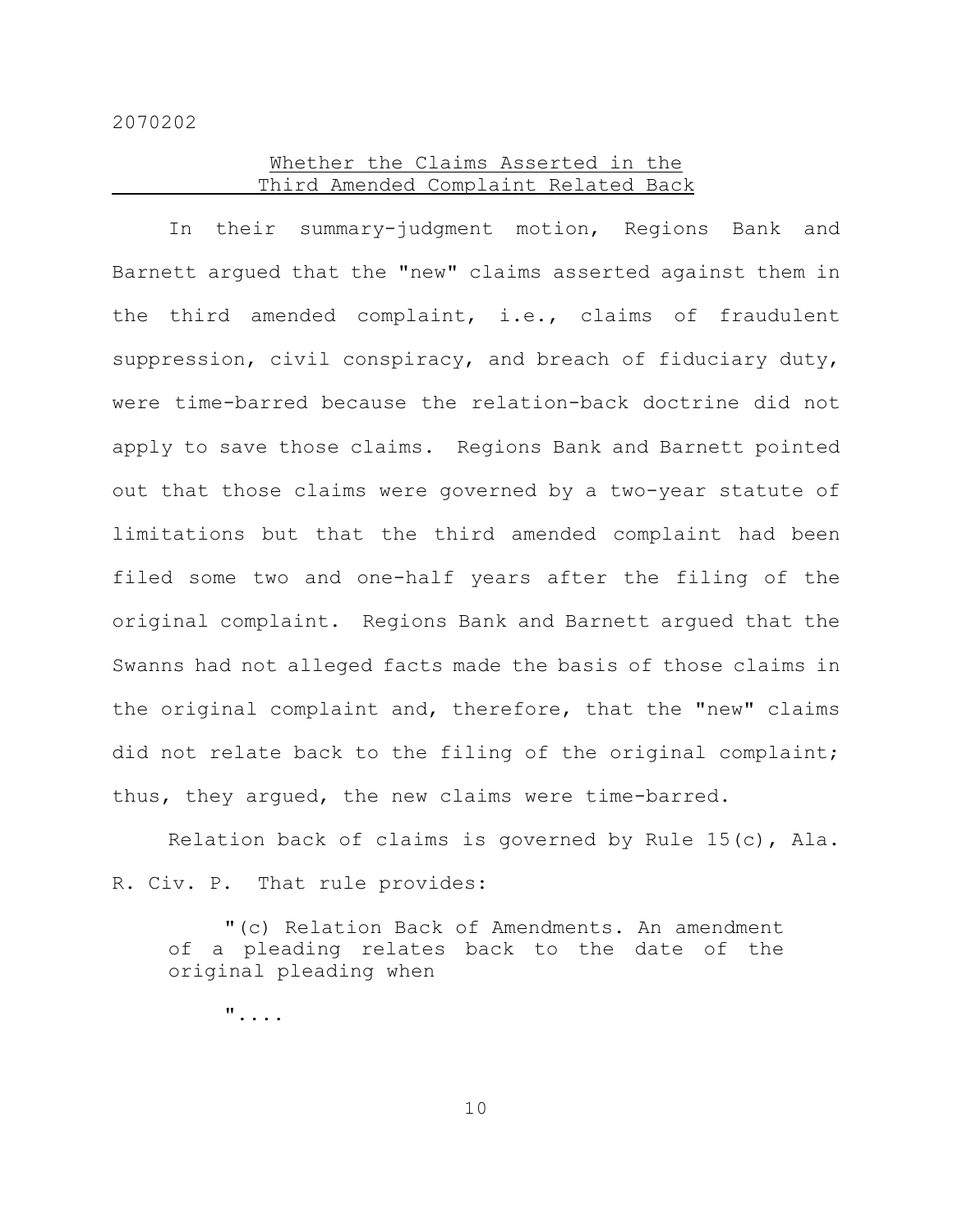# Whether the Claims Asserted in the Third Amended Complaint Related Back

In their summary-judgment motion, Regions Bank and Barnett argued that the "new" claims asserted against them in the third amended complaint, i.e., claims of fraudulent suppression, civil conspiracy, and breach of fiduciary duty, were time-barred because the relation-back doctrine did not apply to save those claims. Regions Bank and Barnett pointed out that those claims were governed by a two-year statute of limitations but that the third amended complaint had been filed some two and one-half years after the filing of the original complaint. Regions Bank and Barnett argued that the Swanns had not alleged facts made the basis of those claims in the original complaint and, therefore, that the "new" claims did not relate back to the filing of the original complaint; thus, they argued, the new claims were time-barred.

Relation back of claims is governed by Rule 15(c), Ala. R. Civ. P. That rule provides:

"(c) Relation Back of Amendments. An amendment of a pleading relates back to the date of the original pleading when

"....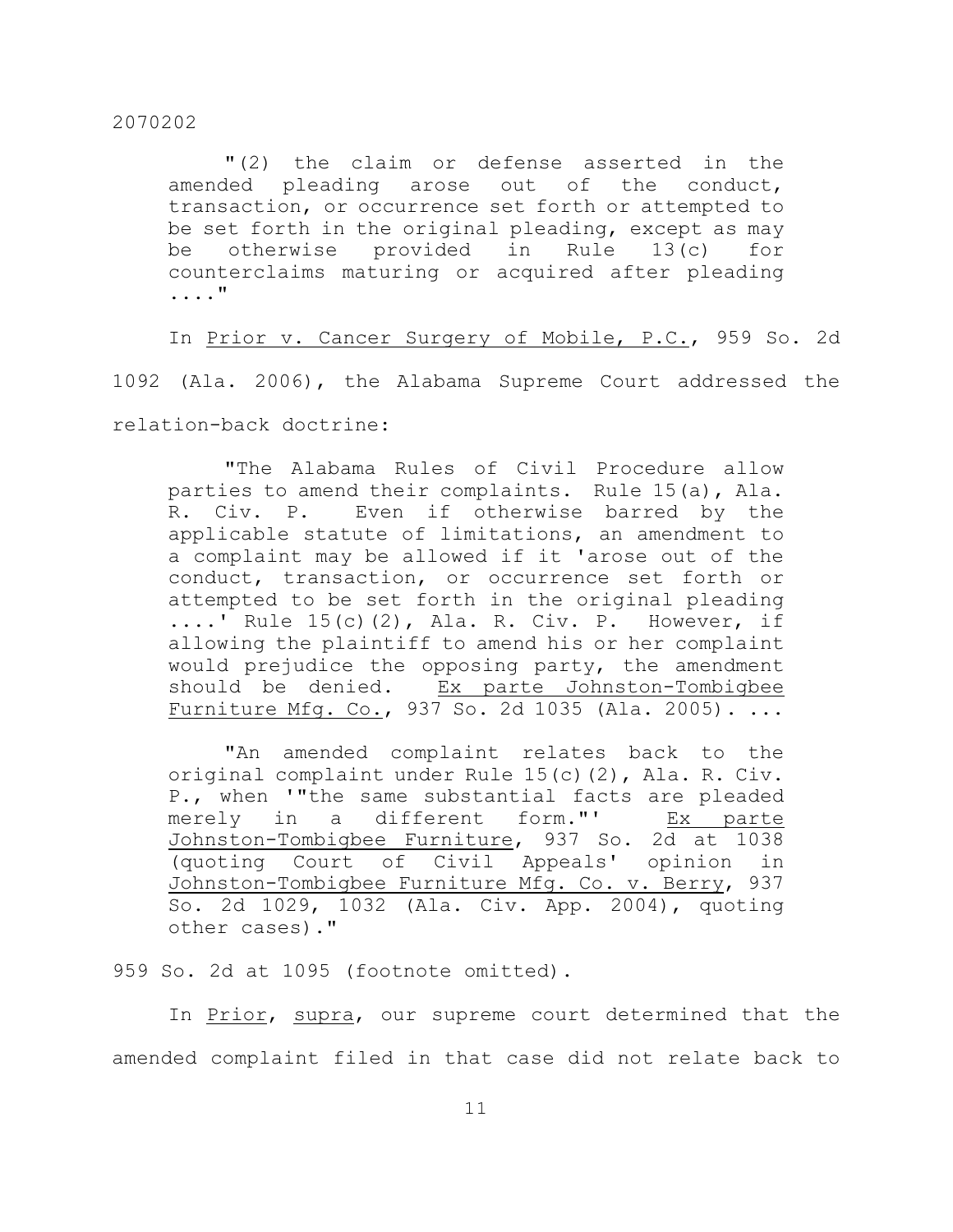"(2) the claim or defense asserted in the amended pleading arose out of the conduct, transaction, or occurrence set forth or attempted to be set forth in the original pleading, except as may be otherwise provided in Rule 13(c) for counterclaims maturing or acquired after pleading ...."

In Prior v. Cancer Surgery of Mobile, P.C., 959 So. 2d

1092 (Ala. 2006), the Alabama Supreme Court addressed the

relation-back doctrine:

"The Alabama Rules of Civil Procedure allow parties to amend their complaints. Rule 15(a), Ala. R. Civ. P. Even if otherwise barred by the applicable statute of limitations, an amendment to a complaint may be allowed if it 'arose out of the conduct, transaction, or occurrence set forth or attempted to be set forth in the original pleading ....' Rule 15(c)(2), Ala. R. Civ. P. However, if allowing the plaintiff to amend his or her complaint would prejudice the opposing party, the amendment should be denied. Ex parte Johnston-Tombigbee Furniture Mfg. Co., 937 So. 2d 1035 (Ala. 2005). ...

"An amended complaint relates back to the original complaint under Rule 15(c)(2), Ala. R. Civ. P., when '"the same substantial facts are pleaded merely in a different form."' Ex parte Johnston-Tombigbee Furniture, 937 So. 2d at 1038 (quoting Court of Civil Appeals' opinion in Johnston-Tombigbee Furniture Mfg. Co. v. Berry, 937 So. 2d 1029, 1032 (Ala. Civ. App. 2004), quoting other cases)."

959 So. 2d at 1095 (footnote omitted).

In Prior, supra, our supreme court determined that the amended complaint filed in that case did not relate back to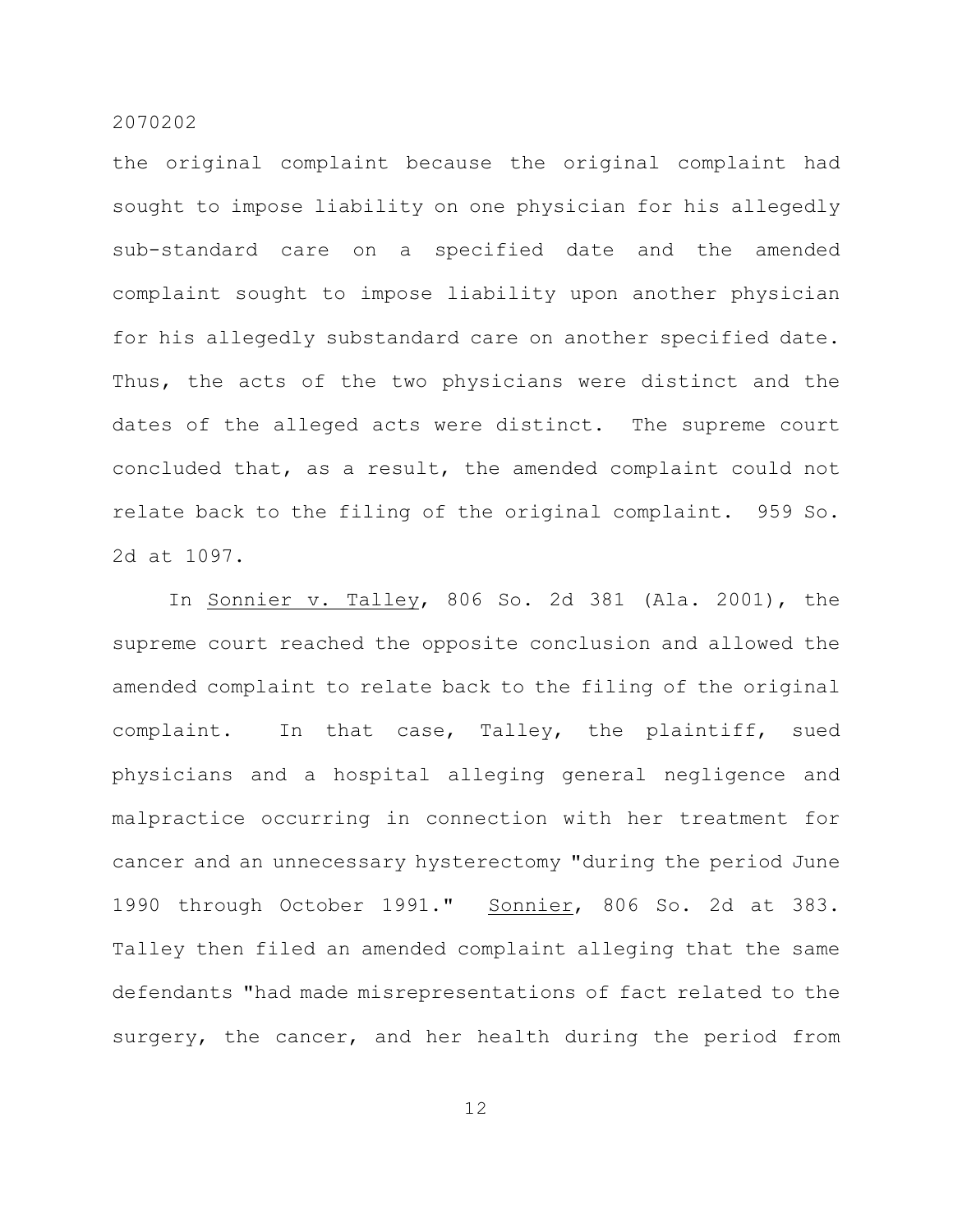the original complaint because the original complaint had sought to impose liability on one physician for his allegedly sub-standard care on a specified date and the amended complaint sought to impose liability upon another physician for his allegedly substandard care on another specified date. Thus, the acts of the two physicians were distinct and the dates of the alleged acts were distinct. The supreme court concluded that, as a result, the amended complaint could not relate back to the filing of the original complaint. 959 So. 2d at 1097.

In Sonnier v. Talley, 806 So. 2d 381 (Ala. 2001), the supreme court reached the opposite conclusion and allowed the amended complaint to relate back to the filing of the original complaint. In that case, Talley, the plaintiff, sued physicians and a hospital alleging general negligence and malpractice occurring in connection with her treatment for cancer and an unnecessary hysterectomy "during the period June 1990 through October 1991." Sonnier, 806 So. 2d at 383. Talley then filed an amended complaint alleging that the same defendants "had made misrepresentations of fact related to the surgery, the cancer, and her health during the period from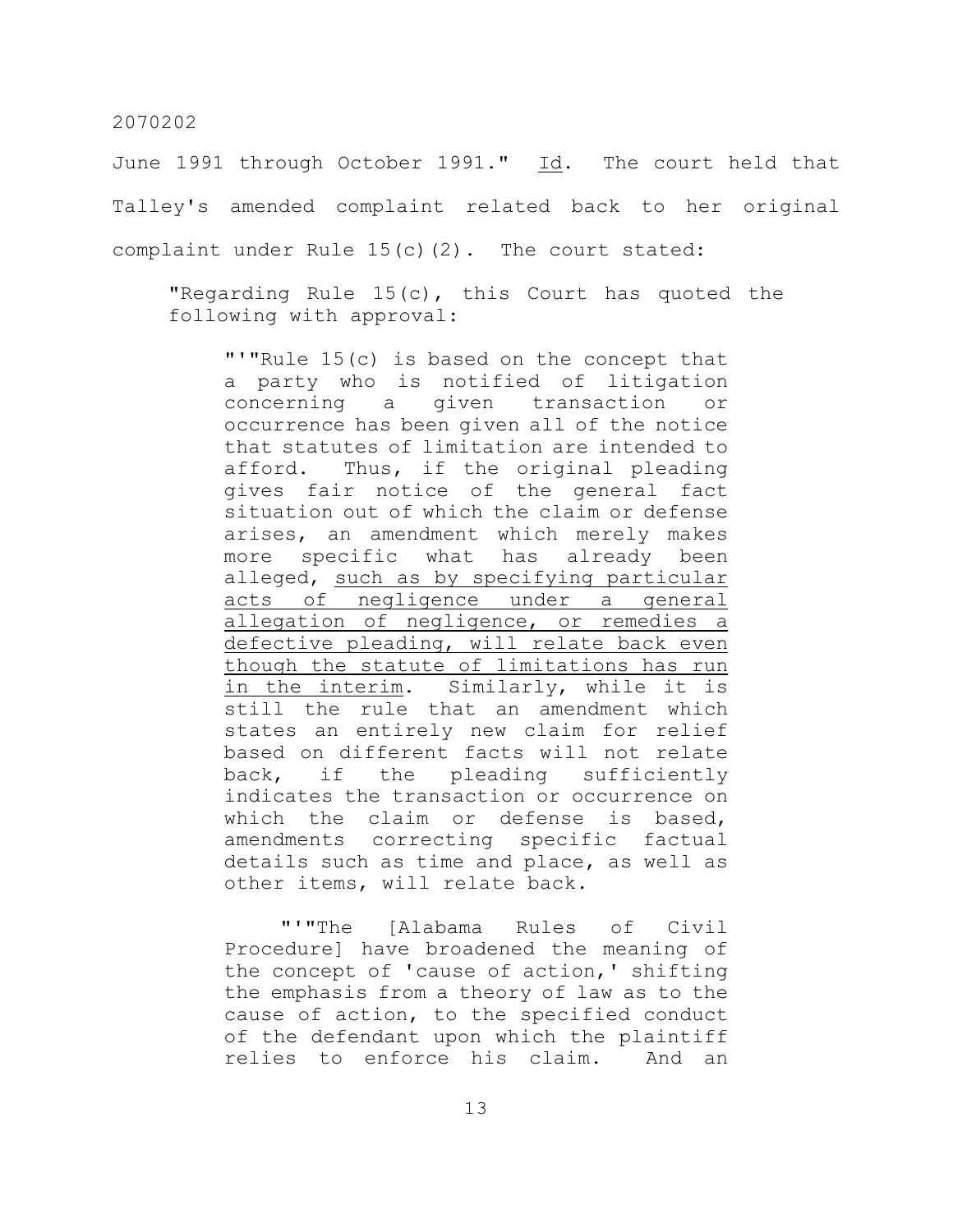June 1991 through October 1991." Id. The court held that Talley's amended complaint related back to her original complaint under Rule 15(c)(2). The court stated:

"Regarding Rule 15(c), this Court has quoted the following with approval:

"'"Rule 15(c) is based on the concept that a party who is notified of litigation concerning a given transaction or occurrence has been given all of the notice that statutes of limitation are intended to afford. Thus, if the original pleading gives fair notice of the general fact situation out of which the claim or defense arises, an amendment which merely makes more specific what has already been alleged, such as by specifying particular acts of negligence under a general allegation of negligence, or remedies a defective pleading, will relate back even though the statute of limitations has run in the interim. Similarly, while it is still the rule that an amendment which states an entirely new claim for relief based on different facts will not relate back, if the pleading sufficiently indicates the transaction or occurrence on which the claim or defense is based, amendments correcting specific factual details such as time and place, as well as other items, will relate back.

"'"The [Alabama Rules of Civil Procedure] have broadened the meaning of the concept of 'cause of action,' shifting the emphasis from a theory of law as to the cause of action, to the specified conduct of the defendant upon which the plaintiff relies to enforce his claim. And an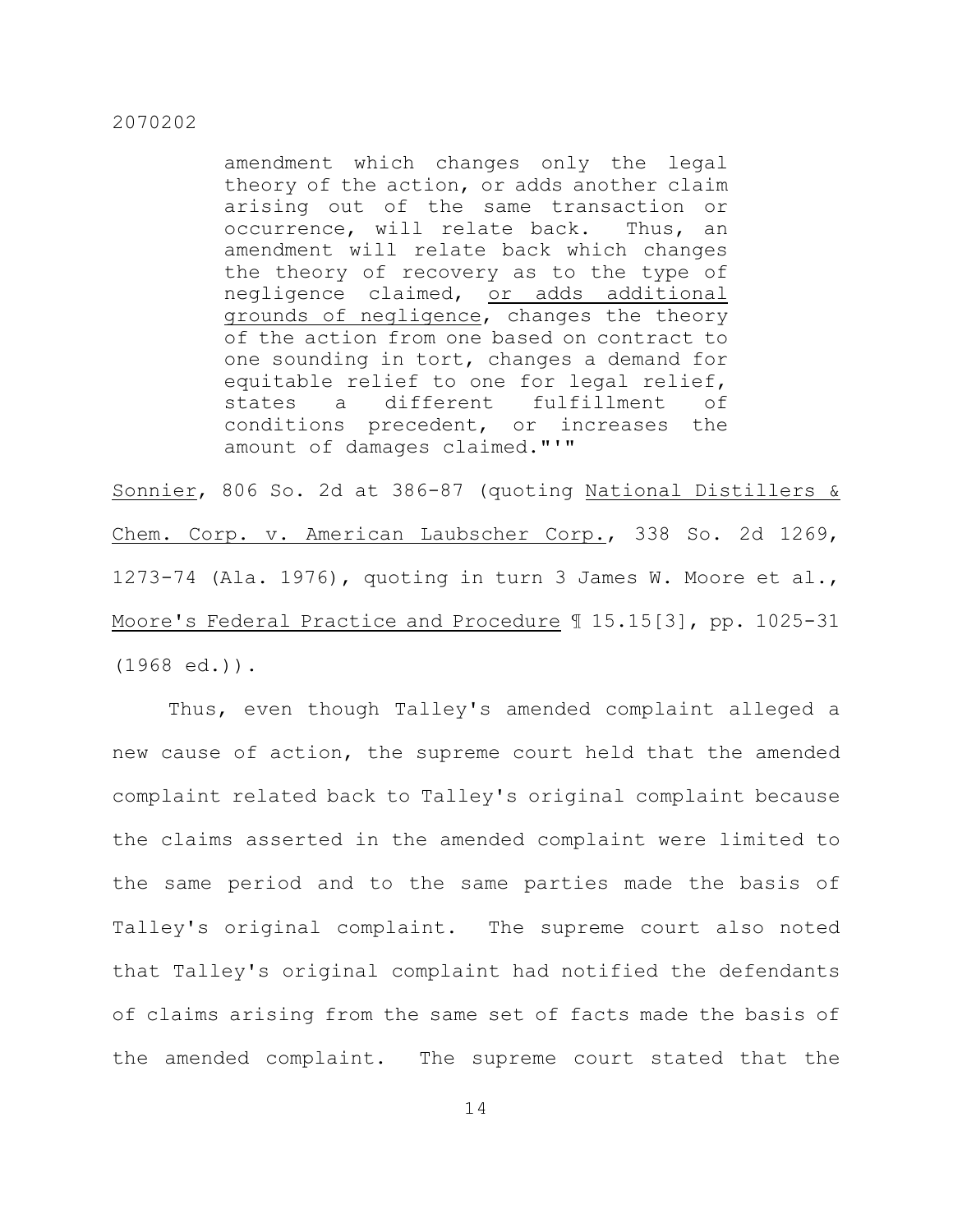amendment which changes only the legal theory of the action, or adds another claim arising out of the same transaction or occurrence, will relate back. Thus, an amendment will relate back which changes the theory of recovery as to the type of negligence claimed, or adds additional grounds of negligence, changes the theory of the action from one based on contract to one sounding in tort, changes a demand for equitable relief to one for legal relief, states a different fulfillment of conditions precedent, or increases the amount of damages claimed."'"

Sonnier, 806 So. 2d at 386-87 (quoting National Distillers & Chem. Corp. v. American Laubscher Corp., 338 So. 2d 1269, 1273-74 (Ala. 1976), quoting in turn 3 James W. Moore et al., Moore's Federal Practice and Procedure 115.15[3], pp. 1025-31 (1968 ed.)).

Thus, even though Talley's amended complaint alleged a new cause of action, the supreme court held that the amended complaint related back to Talley's original complaint because the claims asserted in the amended complaint were limited to the same period and to the same parties made the basis of Talley's original complaint. The supreme court also noted that Talley's original complaint had notified the defendants of claims arising from the same set of facts made the basis of the amended complaint. The supreme court stated that the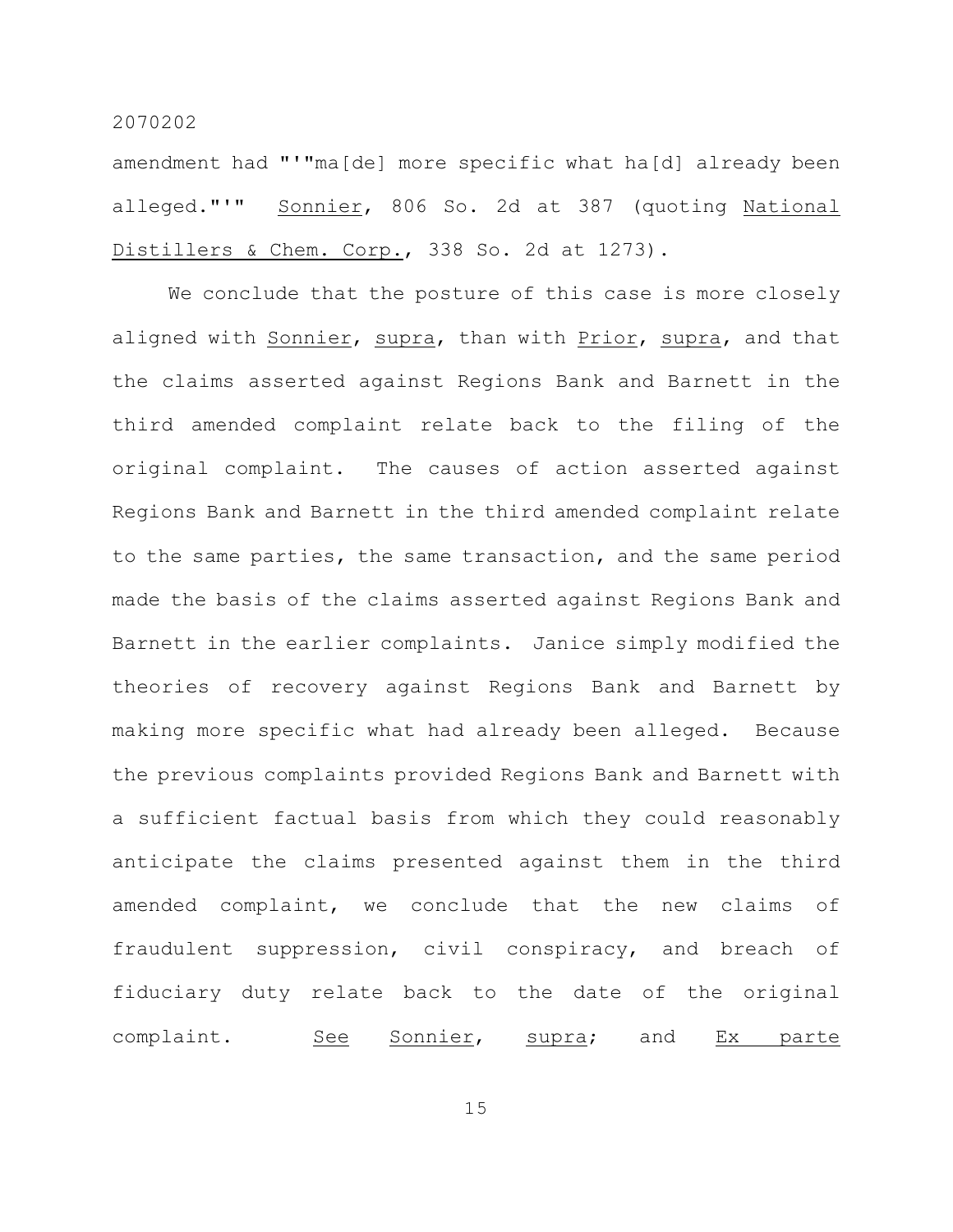amendment had "'"ma[de] more specific what ha[d] already been alleged."'" Sonnier, 806 So. 2d at 387 (quoting National Distillers & Chem. Corp., 338 So. 2d at 1273).

We conclude that the posture of this case is more closely aligned with Sonnier, supra, than with Prior, supra, and that the claims asserted against Regions Bank and Barnett in the third amended complaint relate back to the filing of the original complaint. The causes of action asserted against Regions Bank and Barnett in the third amended complaint relate to the same parties, the same transaction, and the same period made the basis of the claims asserted against Regions Bank and Barnett in the earlier complaints. Janice simply modified the theories of recovery against Regions Bank and Barnett by making more specific what had already been alleged. Because the previous complaints provided Regions Bank and Barnett with a sufficient factual basis from which they could reasonably anticipate the claims presented against them in the third amended complaint, we conclude that the new claims of fraudulent suppression, civil conspiracy, and breach of fiduciary duty relate back to the date of the original complaint. See Sonnier, supra; and Ex parte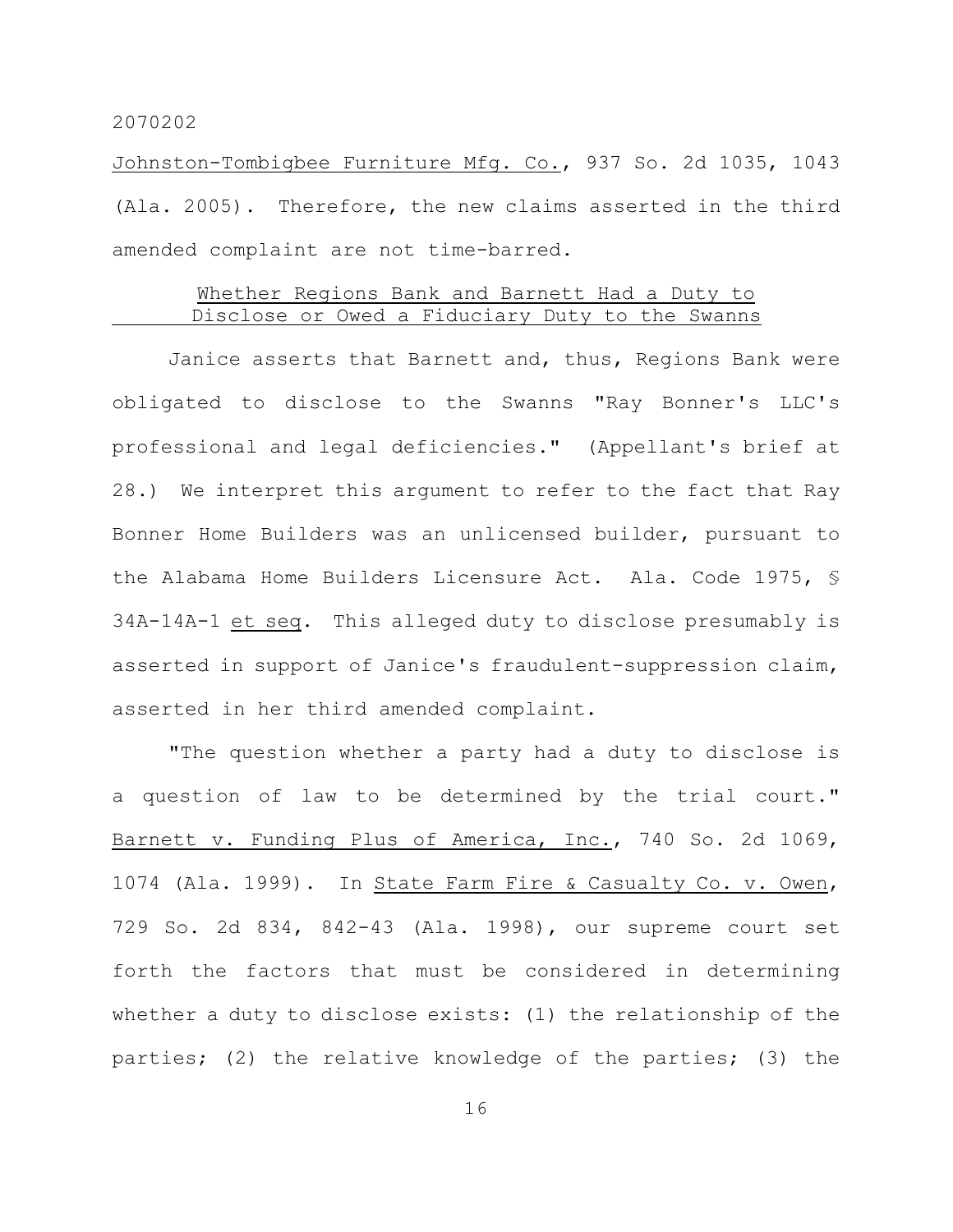Johnston-Tombigbee Furniture Mfg. Co., 937 So. 2d 1035, 1043 (Ala. 2005). Therefore, the new claims asserted in the third amended complaint are not time-barred.

# Whether Regions Bank and Barnett Had a Duty to Disclose or Owed a Fiduciary Duty to the Swanns

Janice asserts that Barnett and, thus, Regions Bank were obligated to disclose to the Swanns "Ray Bonner's LLC's professional and legal deficiencies." (Appellant's brief at 28.) We interpret this argument to refer to the fact that Ray Bonner Home Builders was an unlicensed builder, pursuant to the Alabama Home Builders Licensure Act. Ala. Code 1975, § 34A-14A-1 et seq. This alleged duty to disclose presumably is asserted in support of Janice's fraudulent-suppression claim, asserted in her third amended complaint.

"The question whether a party had a duty to disclose is a question of law to be determined by the trial court." Barnett v. Funding Plus of America, Inc., 740 So. 2d 1069, 1074 (Ala. 1999). In State Farm Fire & Casualty Co. v. Owen, 729 So. 2d 834, 842-43 (Ala. 1998), our supreme court set forth the factors that must be considered in determining whether a duty to disclose exists: (1) the relationship of the parties; (2) the relative knowledge of the parties; (3) the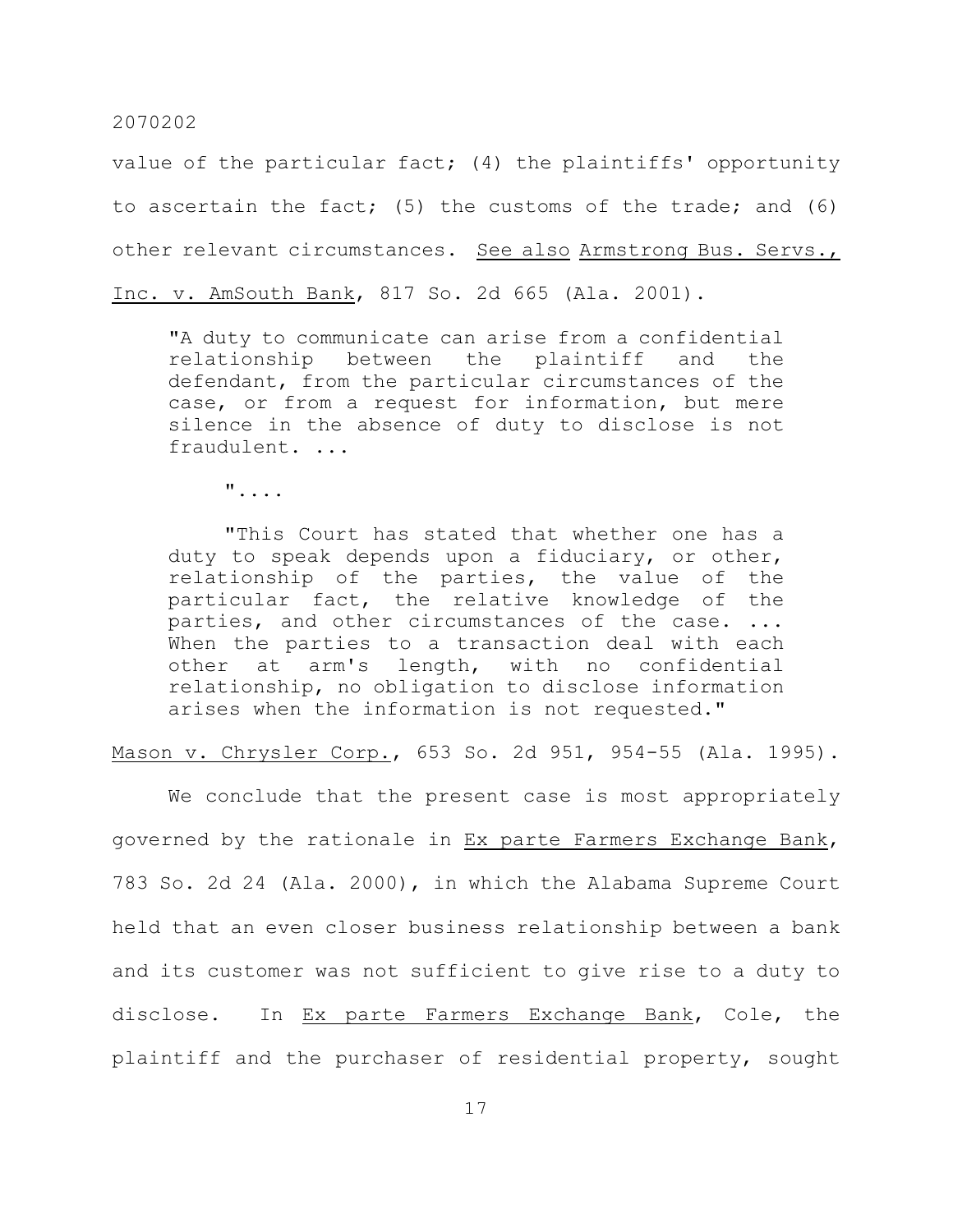value of the particular fact; (4) the plaintiffs' opportunity to ascertain the fact; (5) the customs of the trade; and (6) other relevant circumstances. See also Armstrong Bus. Servs., Inc. v. AmSouth Bank, 817 So. 2d 665 (Ala. 2001).

"A duty to communicate can arise from a confidential relationship between the plaintiff and the defendant, from the particular circumstances of the case, or from a request for information, but mere silence in the absence of duty to disclose is not fraudulent. ...

 $\mathbf{w}_{1,1,2,3}$ 

"This Court has stated that whether one has a duty to speak depends upon a fiduciary, or other, relationship of the parties, the value of the particular fact, the relative knowledge of the parties, and other circumstances of the case. ... When the parties to a transaction deal with each other at arm's length, with no confidential relationship, no obligation to disclose information arises when the information is not requested."

Mason v. Chrysler Corp., 653 So. 2d 951, 954-55 (Ala. 1995).

We conclude that the present case is most appropriately governed by the rationale in Ex parte Farmers Exchange Bank, 783 So. 2d 24 (Ala. 2000), in which the Alabama Supreme Court held that an even closer business relationship between a bank and its customer was not sufficient to give rise to a duty to disclose. In Ex parte Farmers Exchange Bank, Cole, the plaintiff and the purchaser of residential property, sought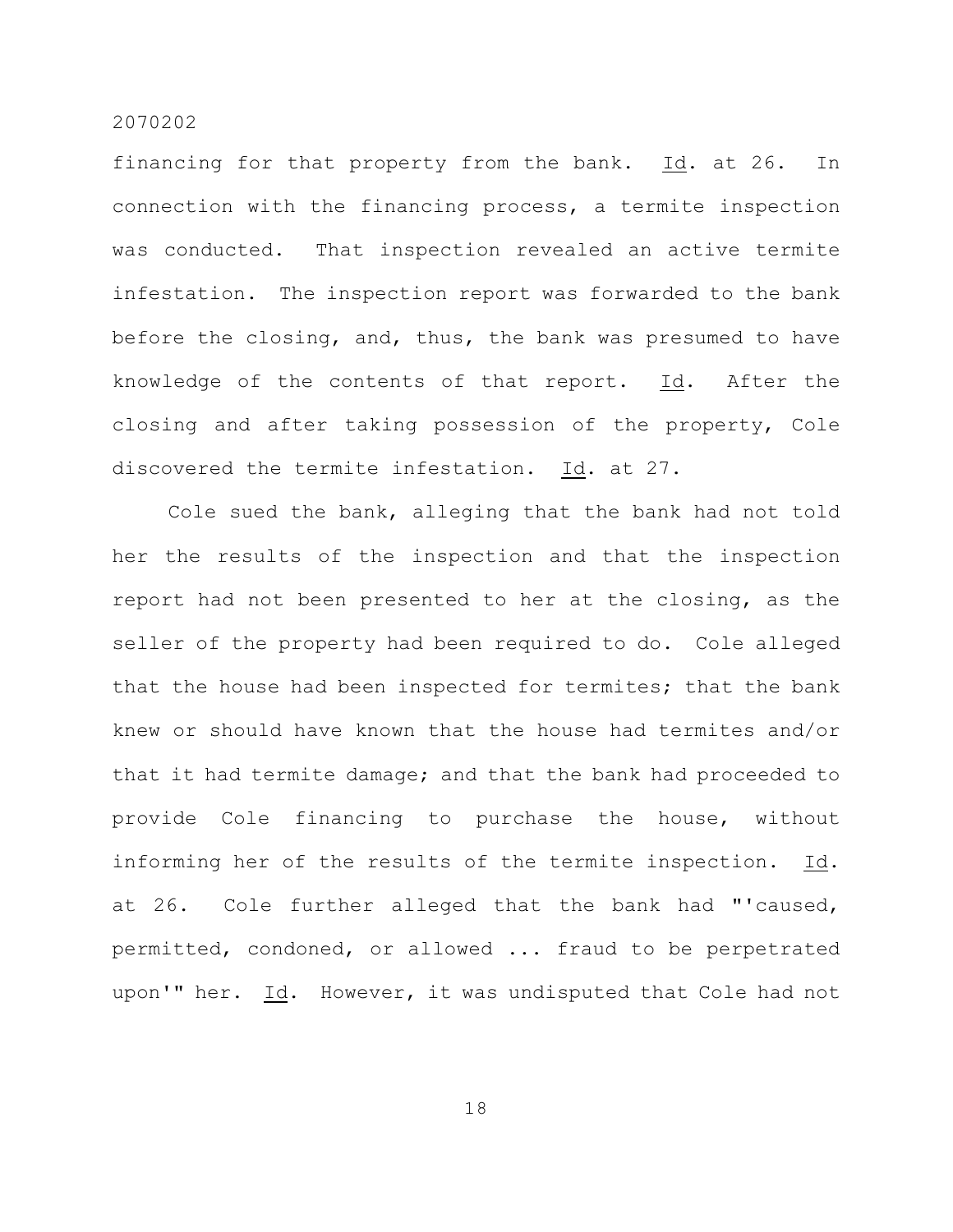financing for that property from the bank. Id. at 26. In connection with the financing process, a termite inspection was conducted. That inspection revealed an active termite infestation. The inspection report was forwarded to the bank before the closing, and, thus, the bank was presumed to have knowledge of the contents of that report. Id. After the closing and after taking possession of the property, Cole discovered the termite infestation. Id. at 27.

Cole sued the bank, alleging that the bank had not told her the results of the inspection and that the inspection report had not been presented to her at the closing, as the seller of the property had been required to do. Cole alleged that the house had been inspected for termites; that the bank knew or should have known that the house had termites and/or that it had termite damage; and that the bank had proceeded to provide Cole financing to purchase the house, without informing her of the results of the termite inspection. Id. at 26. Cole further alleged that the bank had "'caused, permitted, condoned, or allowed ... fraud to be perpetrated upon'" her. Id. However, it was undisputed that Cole had not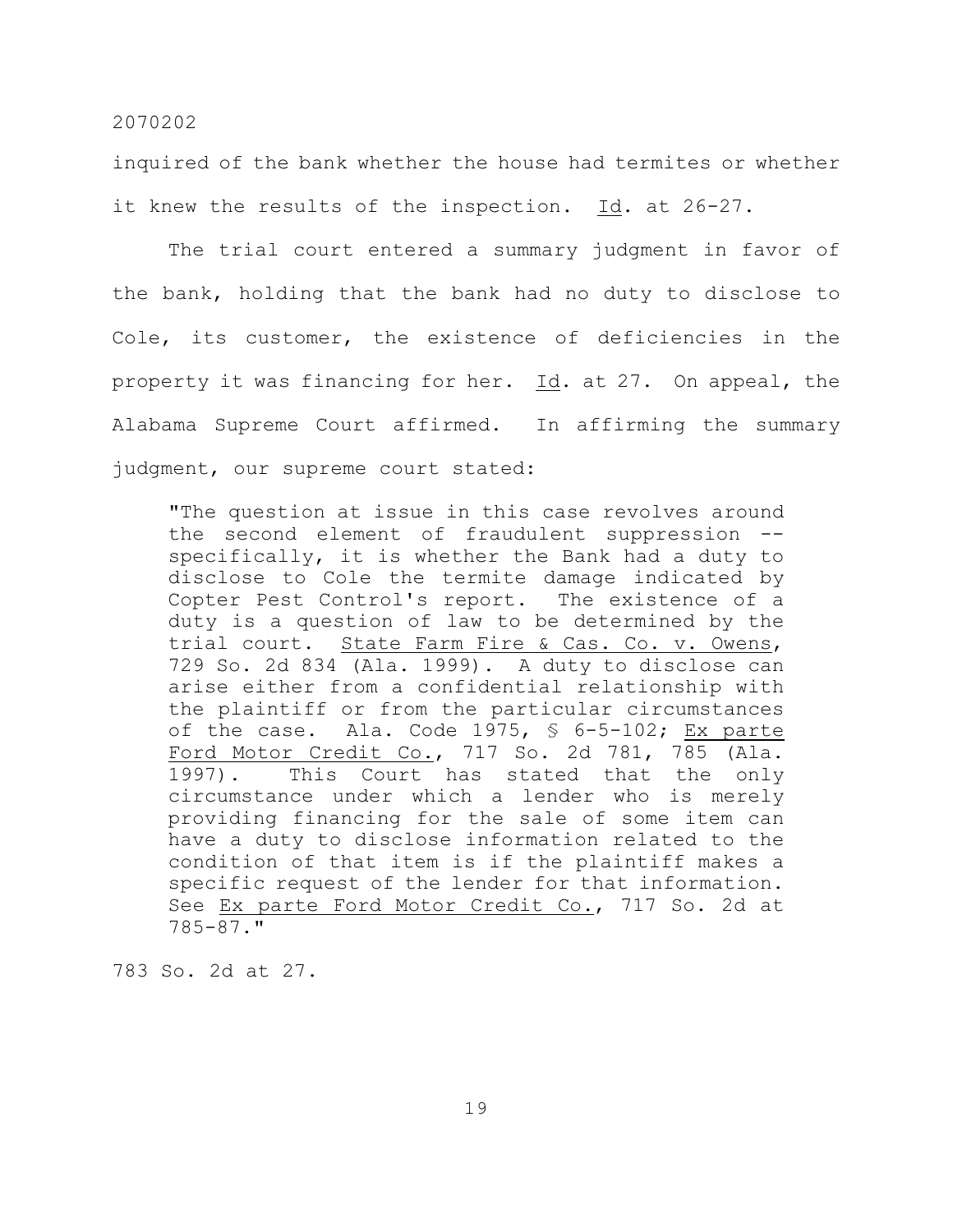inquired of the bank whether the house had termites or whether it knew the results of the inspection. Id. at 26-27.

The trial court entered a summary judgment in favor of the bank, holding that the bank had no duty to disclose to Cole, its customer, the existence of deficiencies in the property it was financing for her. Id. at 27. On appeal, the Alabama Supreme Court affirmed. In affirming the summary judgment, our supreme court stated:

"The question at issue in this case revolves around the second element of fraudulent suppression - specifically, it is whether the Bank had a duty to disclose to Cole the termite damage indicated by Copter Pest Control's report. The existence of a duty is a question of law to be determined by the trial court. State Farm Fire & Cas. Co. v. Owens, 729 So. 2d 834 (Ala. 1999). A duty to disclose can arise either from a confidential relationship with the plaintiff or from the particular circumstances of the case. Ala. Code 1975, § 6-5-102; Ex parte Ford Motor Credit Co., 717 So. 2d 781, 785 (Ala. 1997). This Court has stated that the only circumstance under which a lender who is merely providing financing for the sale of some item can have a duty to disclose information related to the condition of that item is if the plaintiff makes a specific request of the lender for that information. See Ex parte Ford Motor Credit Co., 717 So. 2d at 785-87."

783 So. 2d at 27.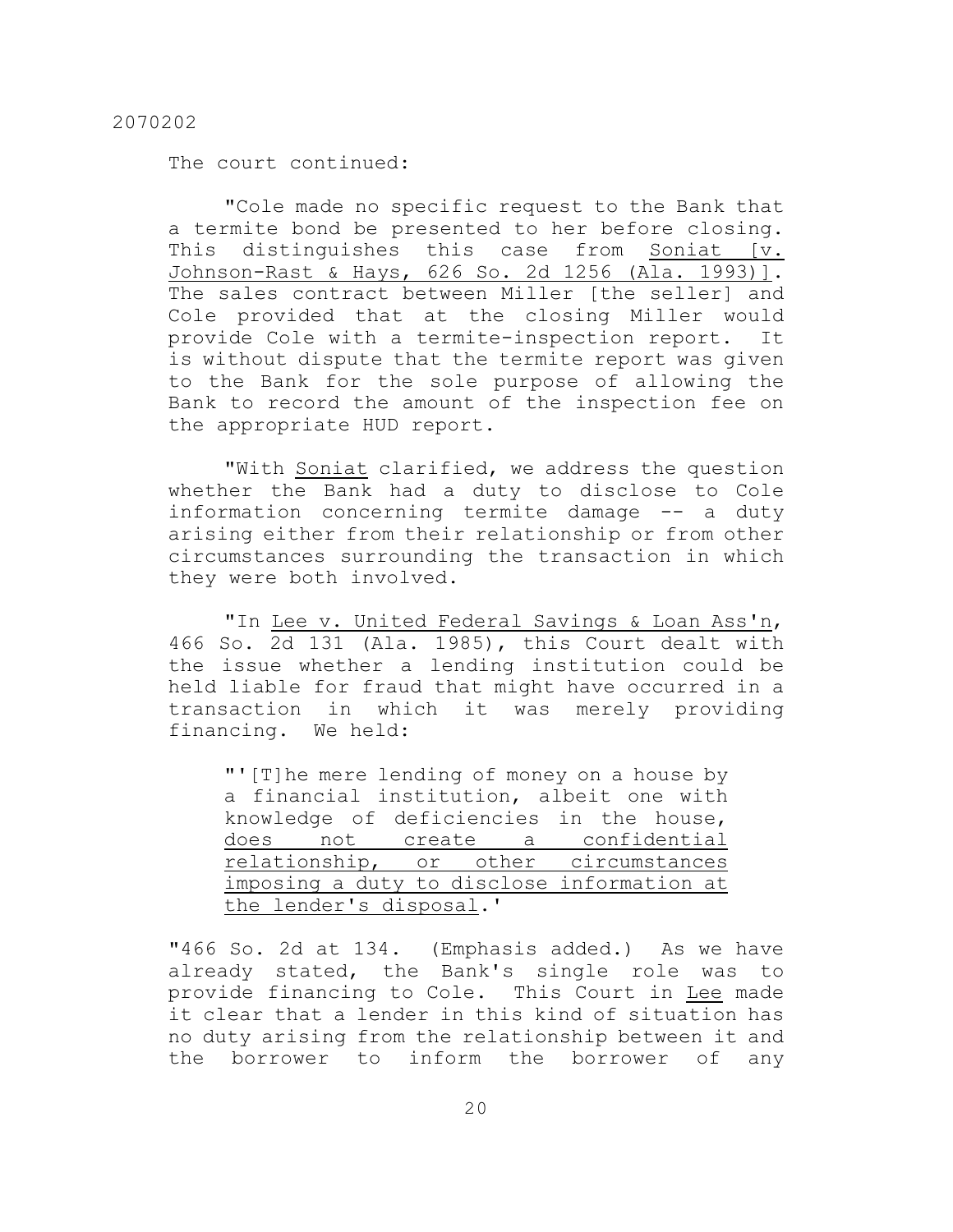The court continued:

"Cole made no specific request to the Bank that a termite bond be presented to her before closing. This distinguishes this case from Soniat [v. Johnson-Rast & Hays, 626 So. 2d 1256 (Ala. 1993)]. The sales contract between Miller [the seller] and Cole provided that at the closing Miller would provide Cole with a termite-inspection report. It is without dispute that the termite report was given to the Bank for the sole purpose of allowing the Bank to record the amount of the inspection fee on the appropriate HUD report.

"With Soniat clarified, we address the question whether the Bank had a duty to disclose to Cole information concerning termite damage -- a duty arising either from their relationship or from other circumstances surrounding the transaction in which they were both involved.

"In Lee v. United Federal Savings & Loan Ass'n, 466 So. 2d 131 (Ala. 1985), this Court dealt with the issue whether a lending institution could be held liable for fraud that might have occurred in a transaction in which it was merely providing financing. We held:

"'[T]he mere lending of money on a house by a financial institution, albeit one with knowledge of deficiencies in the house, does not create a confidential relationship, or other circumstances imposing a duty to disclose information at the lender's disposal.'

"466 So. 2d at 134. (Emphasis added.) As we have already stated, the Bank's single role was to provide financing to Cole. This Court in Lee made it clear that a lender in this kind of situation has no duty arising from the relationship between it and the borrower to inform the borrower of any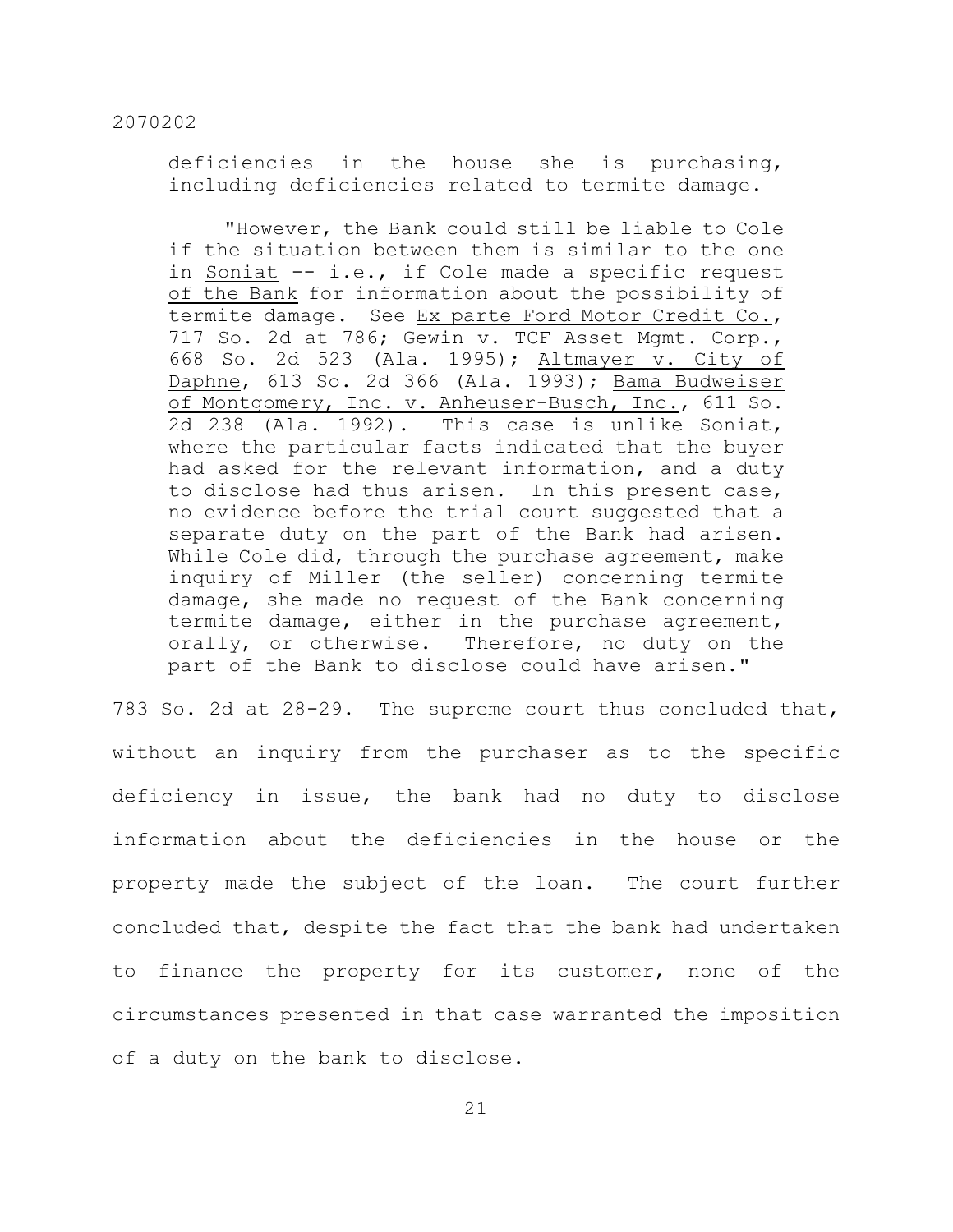deficiencies in the house she is purchasing, including deficiencies related to termite damage.

"However, the Bank could still be liable to Cole if the situation between them is similar to the one in Soniat -- i.e., if Cole made a specific request of the Bank for information about the possibility of termite damage. See Ex parte Ford Motor Credit Co., 717 So. 2d at 786; Gewin v. TCF Asset Mgmt. Corp., 668 So. 2d 523 (Ala. 1995); Altmayer v. City of Daphne, 613 So. 2d 366 (Ala. 1993); Bama Budweiser of Montgomery, Inc. v. Anheuser-Busch, Inc., 611 So. 2d 238 (Ala. 1992). This case is unlike Soniat, where the particular facts indicated that the buyer had asked for the relevant information, and a duty to disclose had thus arisen. In this present case, no evidence before the trial court suggested that a separate duty on the part of the Bank had arisen. While Cole did, through the purchase agreement, make inquiry of Miller (the seller) concerning termite damage, she made no request of the Bank concerning termite damage, either in the purchase agreement, orally, or otherwise. Therefore, no duty on the part of the Bank to disclose could have arisen."

783 So. 2d at 28-29. The supreme court thus concluded that, without an inquiry from the purchaser as to the specific deficiency in issue, the bank had no duty to disclose information about the deficiencies in the house or the property made the subject of the loan. The court further concluded that, despite the fact that the bank had undertaken to finance the property for its customer, none of the circumstances presented in that case warranted the imposition of a duty on the bank to disclose.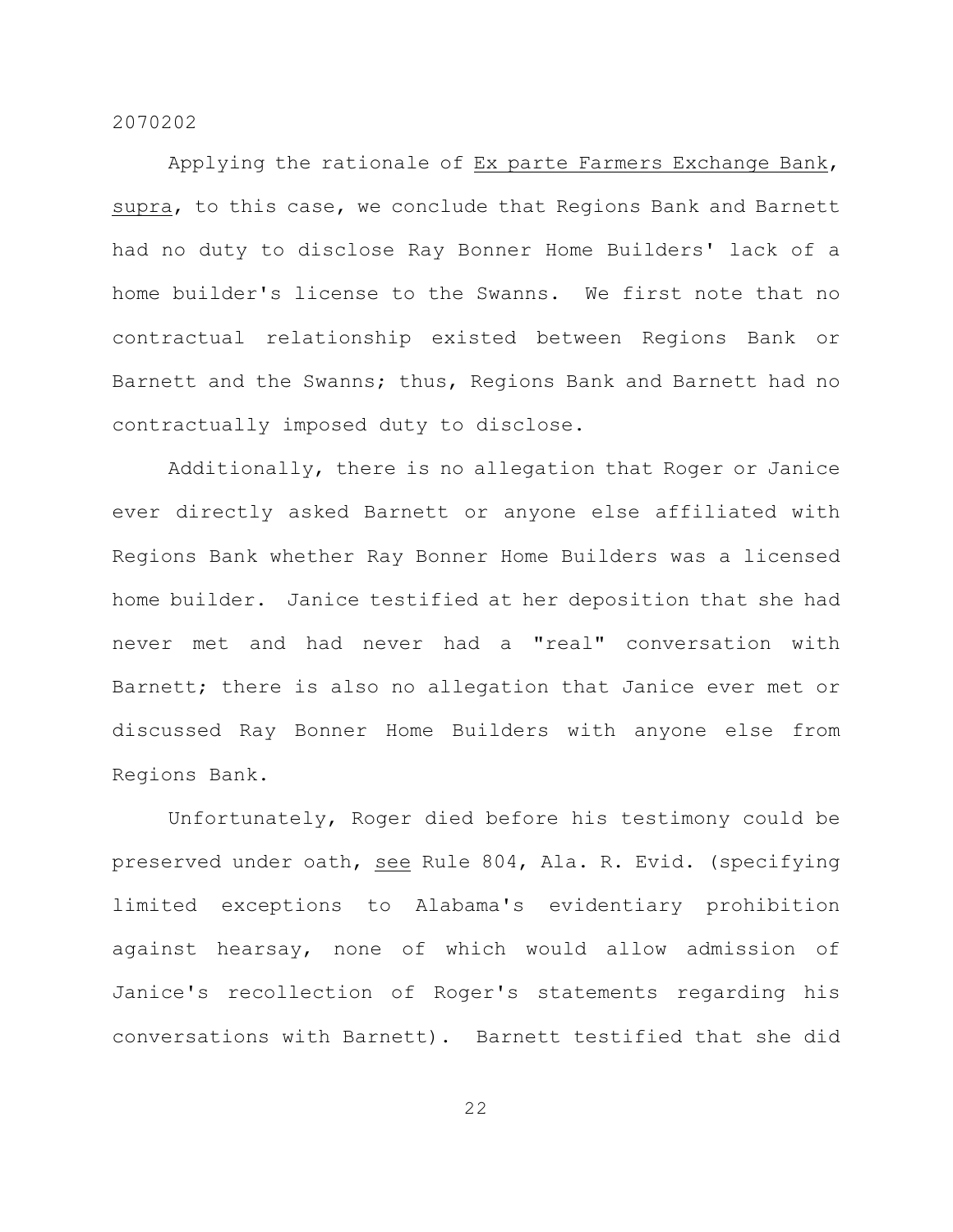Applying the rationale of Ex parte Farmers Exchange Bank, supra, to this case, we conclude that Regions Bank and Barnett had no duty to disclose Ray Bonner Home Builders' lack of a home builder's license to the Swanns. We first note that no contractual relationship existed between Regions Bank or Barnett and the Swanns; thus, Regions Bank and Barnett had no contractually imposed duty to disclose.

Additionally, there is no allegation that Roger or Janice ever directly asked Barnett or anyone else affiliated with Regions Bank whether Ray Bonner Home Builders was a licensed home builder. Janice testified at her deposition that she had never met and had never had a "real" conversation with Barnett; there is also no allegation that Janice ever met or discussed Ray Bonner Home Builders with anyone else from Regions Bank.

Unfortunately, Roger died before his testimony could be preserved under oath, see Rule 804, Ala. R. Evid. (specifying limited exceptions to Alabama's evidentiary prohibition against hearsay, none of which would allow admission of Janice's recollection of Roger's statements regarding his conversations with Barnett). Barnett testified that she did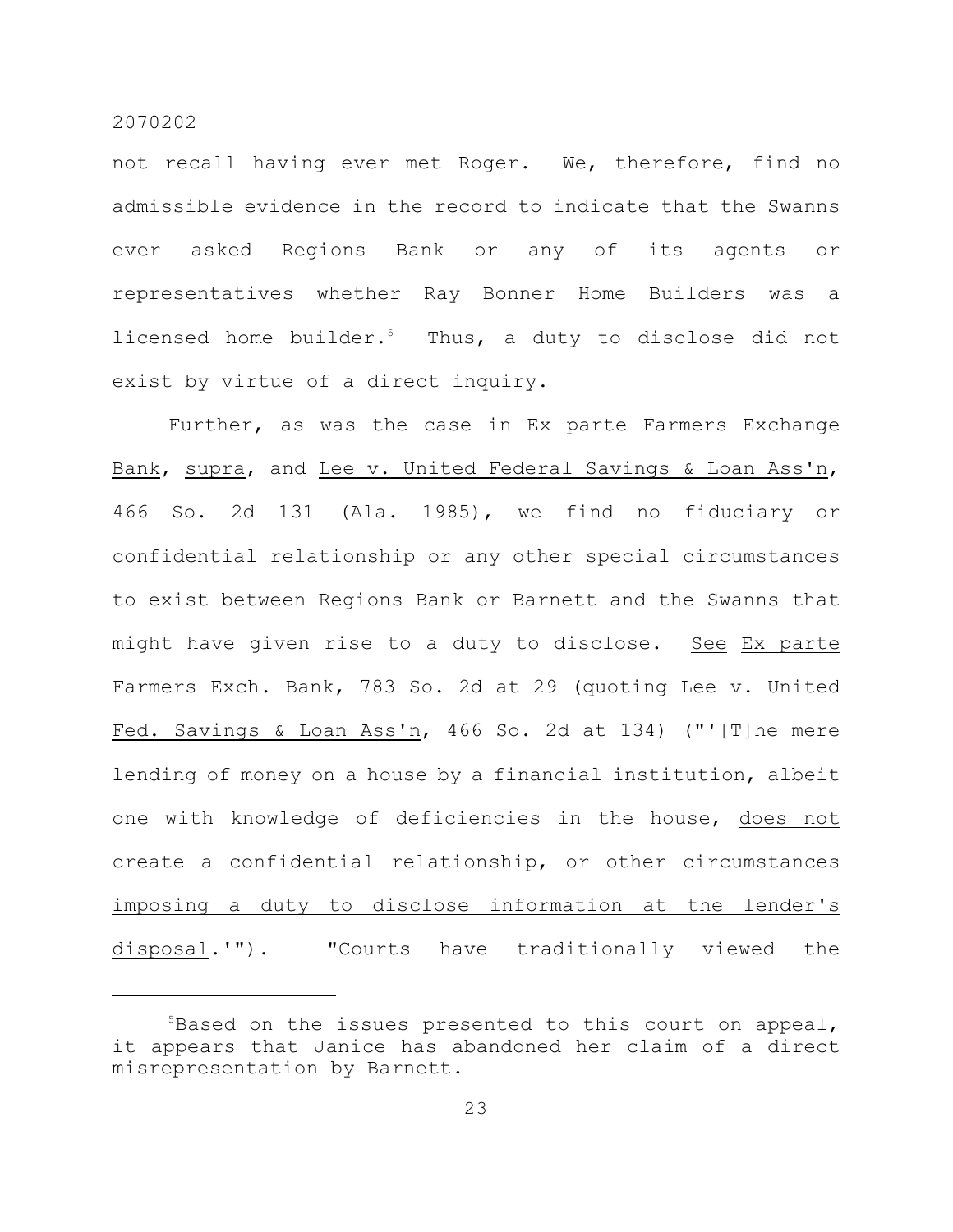not recall having ever met Roger. We, therefore, find no admissible evidence in the record to indicate that the Swanns ever asked Regions Bank or any of its agents or representatives whether Ray Bonner Home Builders was a licensed home builder. $5$  Thus, a duty to disclose did not exist by virtue of a direct inquiry.

Further, as was the case in Ex parte Farmers Exchange Bank, supra, and Lee v. United Federal Savings & Loan Ass'n, 466 So. 2d 131 (Ala. 1985), we find no fiduciary or confidential relationship or any other special circumstances to exist between Regions Bank or Barnett and the Swanns that might have given rise to a duty to disclose. See Ex parte Farmers Exch. Bank, 783 So. 2d at 29 (quoting Lee v. United Fed. Savings & Loan Ass'n, 466 So. 2d at 134) ("'[T]he mere lending of money on a house by a financial institution, albeit one with knowledge of deficiencies in the house, does not create a confidential relationship, or other circumstances imposing a duty to disclose information at the lender's disposal.'"). "Courts have traditionally viewed the

<sup>5</sup>Based on the issues presented to this court on appeal, it appears that Janice has abandoned her claim of a direct misrepresentation by Barnett.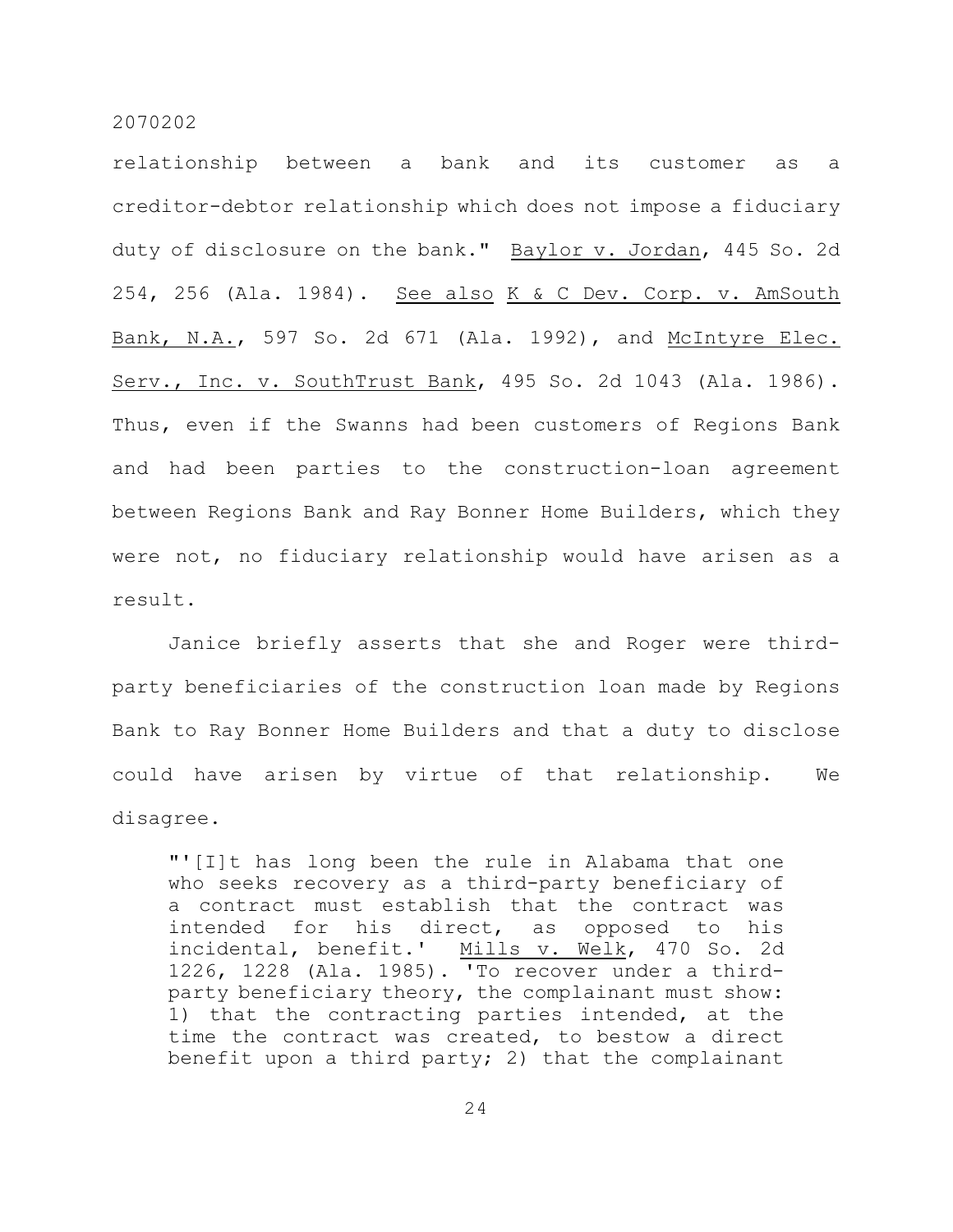relationship between a bank and its customer as a creditor-debtor relationship which does not impose a fiduciary duty of disclosure on the bank." Baylor v. Jordan, 445 So. 2d 254, 256 (Ala. 1984). See also K & C Dev. Corp. v. AmSouth Bank, N.A., 597 So. 2d 671 (Ala. 1992), and McIntyre Elec. Serv., Inc. v. SouthTrust Bank, 495 So. 2d 1043 (Ala. 1986). Thus, even if the Swanns had been customers of Regions Bank and had been parties to the construction-loan agreement between Regions Bank and Ray Bonner Home Builders, which they were not, no fiduciary relationship would have arisen as a result.

Janice briefly asserts that she and Roger were thirdparty beneficiaries of the construction loan made by Regions Bank to Ray Bonner Home Builders and that a duty to disclose could have arisen by virtue of that relationship. We disagree.

"'[I]t has long been the rule in Alabama that one who seeks recovery as a third-party beneficiary of a contract must establish that the contract was intended for his direct, as opposed to his incidental, benefit.' Mills v. Welk, 470 So. 2d 1226, 1228 (Ala. 1985). 'To recover under a thirdparty beneficiary theory, the complainant must show: 1) that the contracting parties intended, at the time the contract was created, to bestow a direct benefit upon a third party; 2) that the complainant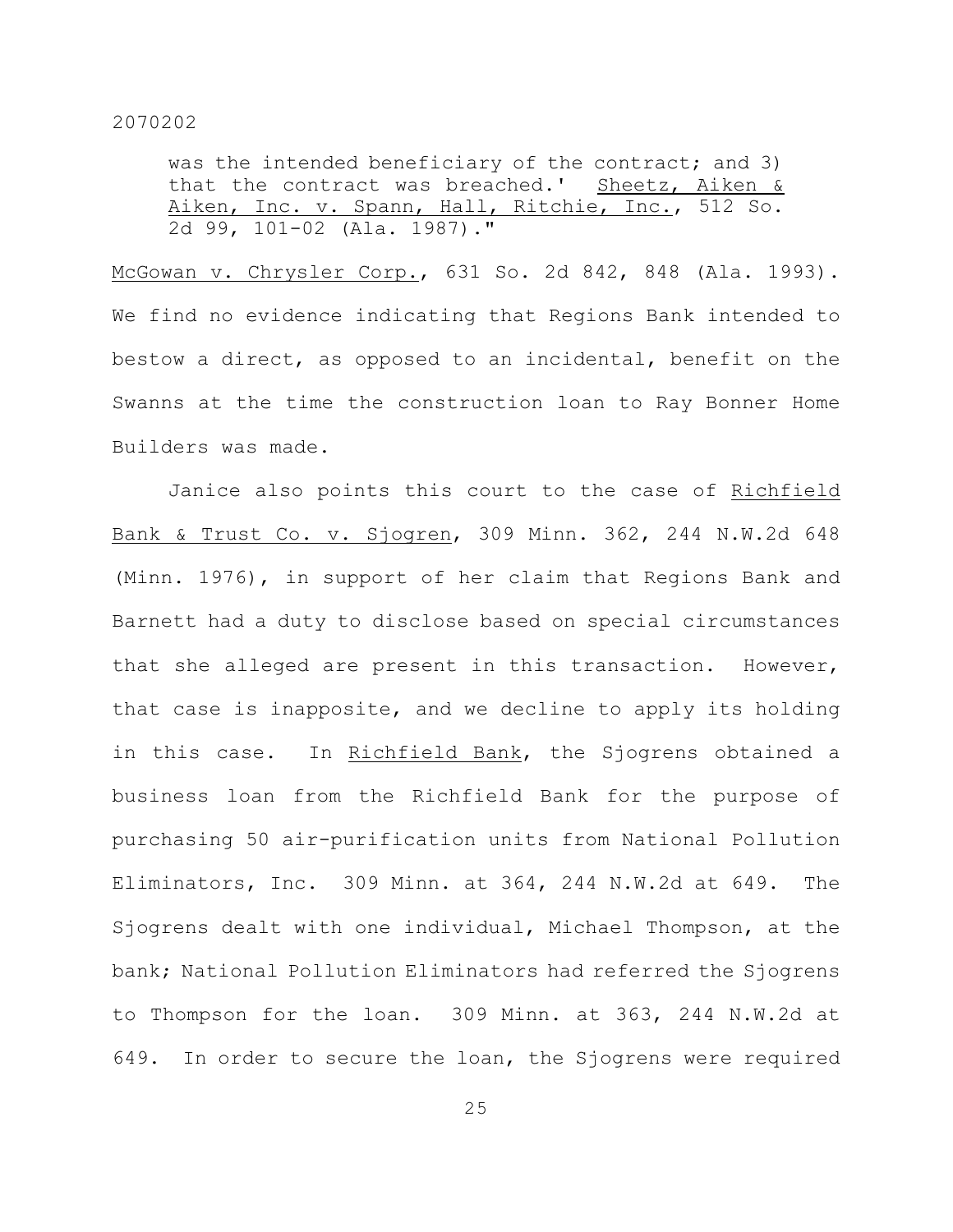was the intended beneficiary of the contract; and 3) that the contract was breached.' Sheetz, Aiken  $\&$ Aiken, Inc. v. Spann, Hall, Ritchie, Inc., 512 So. 2d 99, 101-02 (Ala. 1987)."

McGowan v. Chrysler Corp., 631 So. 2d 842, 848 (Ala. 1993). We find no evidence indicating that Regions Bank intended to bestow a direct, as opposed to an incidental, benefit on the Swanns at the time the construction loan to Ray Bonner Home Builders was made.

Janice also points this court to the case of Richfield Bank & Trust Co. v. Sjogren, 309 Minn. 362, 244 N.W.2d 648 (Minn. 1976), in support of her claim that Regions Bank and Barnett had a duty to disclose based on special circumstances that she alleged are present in this transaction. However, that case is inapposite, and we decline to apply its holding in this case. In Richfield Bank, the Sjogrens obtained a business loan from the Richfield Bank for the purpose of purchasing 50 air-purification units from National Pollution Eliminators, Inc. 309 Minn. at 364, 244 N.W.2d at 649. The Sjogrens dealt with one individual, Michael Thompson, at the bank; National Pollution Eliminators had referred the Sjogrens to Thompson for the loan. 309 Minn. at 363, 244 N.W.2d at 649. In order to secure the loan, the Sjogrens were required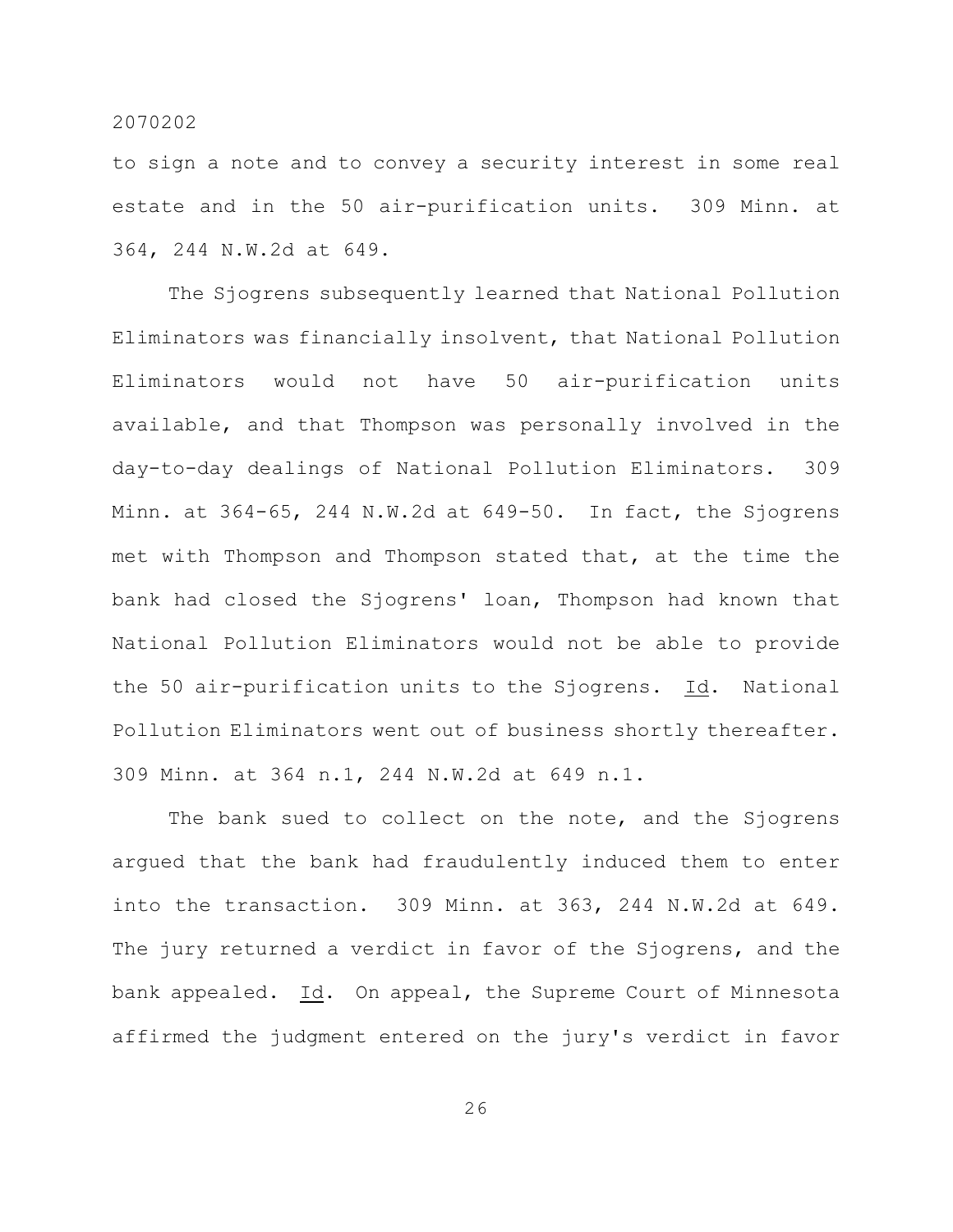to sign a note and to convey a security interest in some real estate and in the 50 air-purification units. 309 Minn. at 364, 244 N.W.2d at 649.

The Sjogrens subsequently learned that National Pollution Eliminators was financially insolvent, that National Pollution Eliminators would not have 50 air-purification units available, and that Thompson was personally involved in the day-to-day dealings of National Pollution Eliminators. 309 Minn. at 364-65, 244 N.W.2d at 649-50. In fact, the Sjogrens met with Thompson and Thompson stated that, at the time the bank had closed the Sjogrens' loan, Thompson had known that National Pollution Eliminators would not be able to provide the 50 air-purification units to the Sjogrens. Id. National Pollution Eliminators went out of business shortly thereafter. 309 Minn. at 364 n.1, 244 N.W.2d at 649 n.1.

The bank sued to collect on the note, and the Sjogrens argued that the bank had fraudulently induced them to enter into the transaction. 309 Minn. at 363, 244 N.W.2d at 649. The jury returned a verdict in favor of the Sjogrens, and the bank appealed. Id. On appeal, the Supreme Court of Minnesota affirmed the judgment entered on the jury's verdict in favor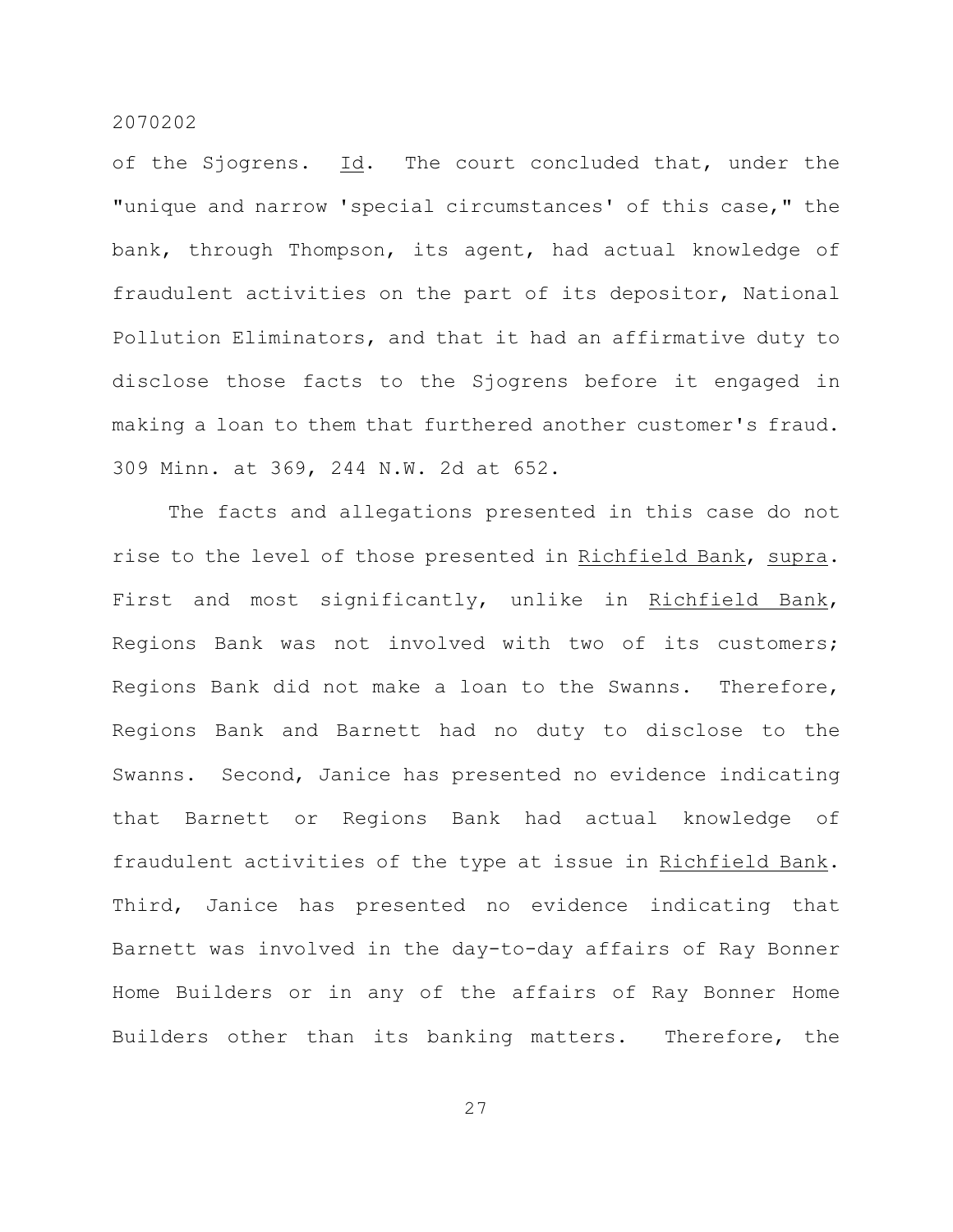of the Sjogrens. Id. The court concluded that, under the "unique and narrow 'special circumstances' of this case," the bank, through Thompson, its agent, had actual knowledge of fraudulent activities on the part of its depositor, National Pollution Eliminators, and that it had an affirmative duty to disclose those facts to the Sjogrens before it engaged in making a loan to them that furthered another customer's fraud. 309 Minn. at 369, 244 N.W. 2d at 652.

The facts and allegations presented in this case do not rise to the level of those presented in Richfield Bank, supra. First and most significantly, unlike in Richfield Bank, Regions Bank was not involved with two of its customers; Regions Bank did not make a loan to the Swanns. Therefore, Regions Bank and Barnett had no duty to disclose to the Swanns. Second, Janice has presented no evidence indicating that Barnett or Regions Bank had actual knowledge of fraudulent activities of the type at issue in Richfield Bank. Third, Janice has presented no evidence indicating that Barnett was involved in the day-to-day affairs of Ray Bonner Home Builders or in any of the affairs of Ray Bonner Home Builders other than its banking matters. Therefore, the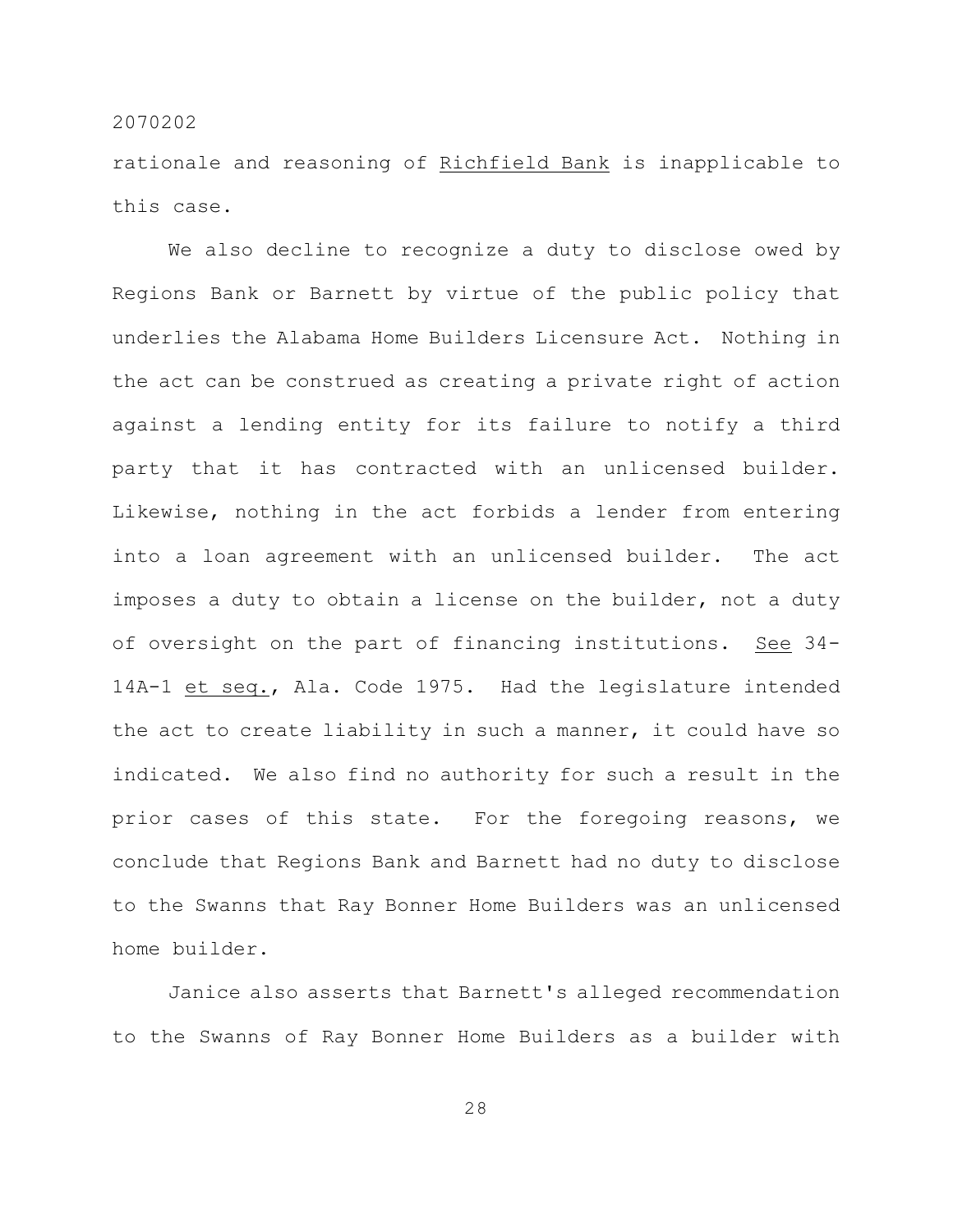rationale and reasoning of Richfield Bank is inapplicable to this case.

We also decline to recognize a duty to disclose owed by Regions Bank or Barnett by virtue of the public policy that underlies the Alabama Home Builders Licensure Act. Nothing in the act can be construed as creating a private right of action against a lending entity for its failure to notify a third party that it has contracted with an unlicensed builder. Likewise, nothing in the act forbids a lender from entering into a loan agreement with an unlicensed builder. The act imposes a duty to obtain a license on the builder, not a duty of oversight on the part of financing institutions. See 34- 14A-1 et seq., Ala. Code 1975. Had the legislature intended the act to create liability in such a manner, it could have so indicated. We also find no authority for such a result in the prior cases of this state. For the foregoing reasons, we conclude that Regions Bank and Barnett had no duty to disclose to the Swanns that Ray Bonner Home Builders was an unlicensed home builder.

Janice also asserts that Barnett's alleged recommendation to the Swanns of Ray Bonner Home Builders as a builder with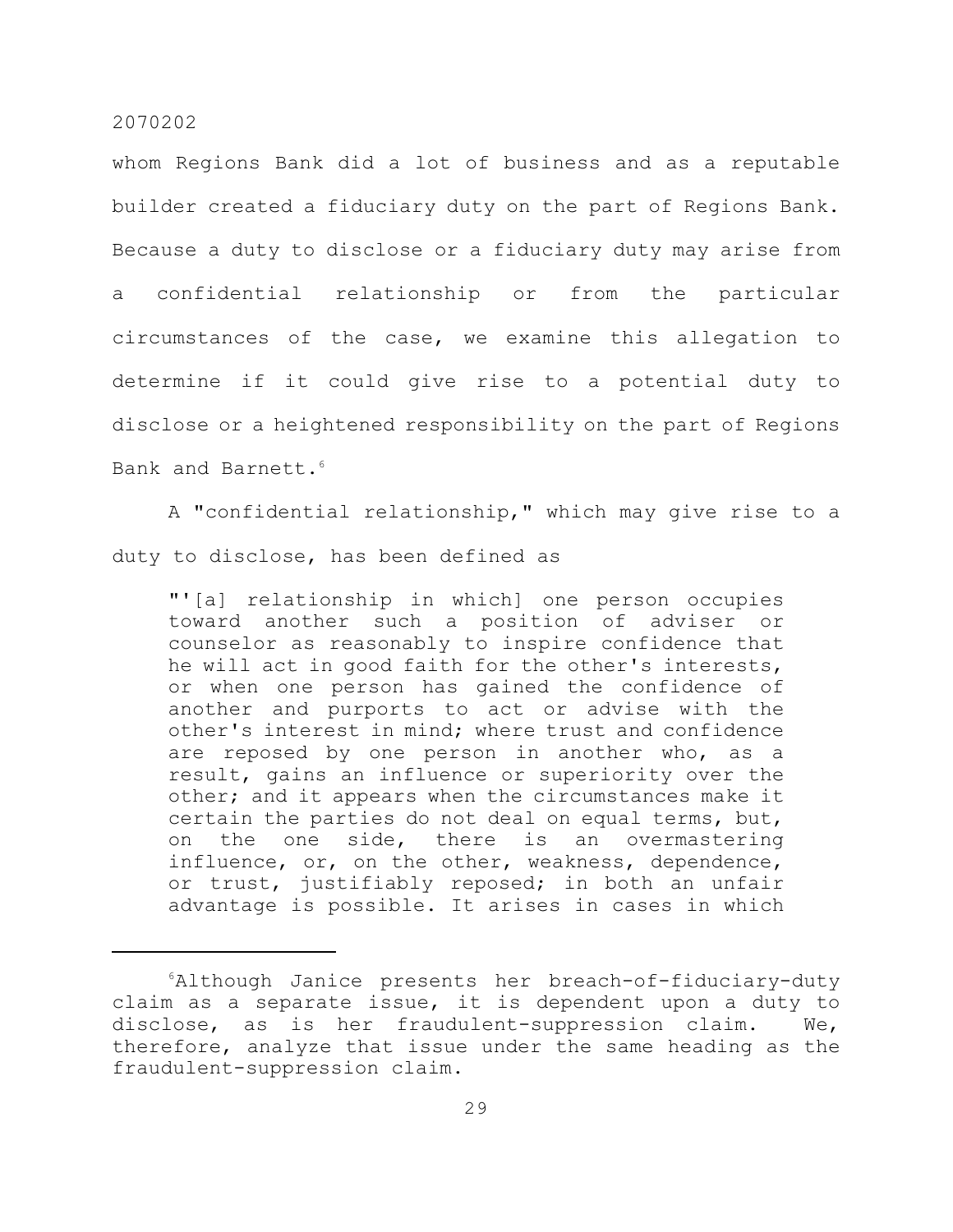whom Regions Bank did a lot of business and as a reputable builder created a fiduciary duty on the part of Regions Bank. Because a duty to disclose or a fiduciary duty may arise from a confidential relationship or from the particular circumstances of the case, we examine this allegation to determine if it could give rise to a potential duty to disclose or a heightened responsibility on the part of Regions Bank and Barnett.<sup>6</sup>

A "confidential relationship," which may give rise to a duty to disclose, has been defined as

"'[a] relationship in which] one person occupies toward another such a position of adviser or counselor as reasonably to inspire confidence that he will act in good faith for the other's interests, or when one person has gained the confidence of another and purports to act or advise with the other's interest in mind; where trust and confidence are reposed by one person in another who, as a result, gains an influence or superiority over the other; and it appears when the circumstances make it certain the parties do not deal on equal terms, but, on the one side, there is an overmastering influence, or, on the other, weakness, dependence, or trust, justifiably reposed; in both an unfair advantage is possible. It arises in cases in which

 $6$ Although Janice presents her breach-of-fiduciary-duty claim as a separate issue, it is dependent upon a duty to disclose, as is her fraudulent-suppression claim. We, therefore, analyze that issue under the same heading as the fraudulent-suppression claim.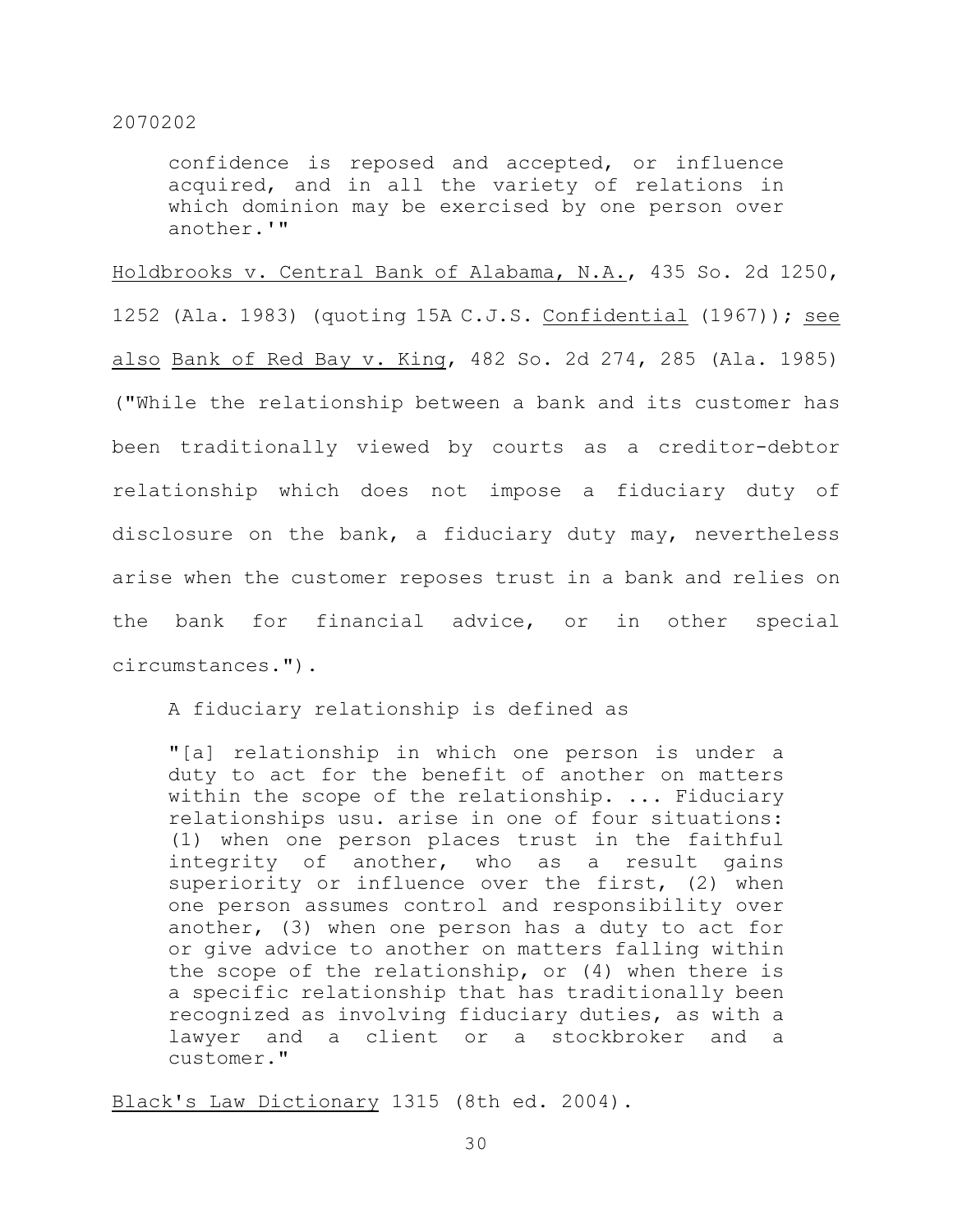confidence is reposed and accepted, or influence acquired, and in all the variety of relations in which dominion may be exercised by one person over another.'"

Holdbrooks v. Central Bank of Alabama, N.A., 435 So. 2d 1250, 1252 (Ala. 1983) (quoting 15A C.J.S. Confidential (1967)); see also Bank of Red Bay v. King, 482 So. 2d 274, 285 (Ala. 1985) ("While the relationship between a bank and its customer has been traditionally viewed by courts as a creditor-debtor relationship which does not impose a fiduciary duty of disclosure on the bank, a fiduciary duty may, nevertheless arise when the customer reposes trust in a bank and relies on the bank for financial advice, or in other special circumstances.").

A fiduciary relationship is defined as

"[a] relationship in which one person is under a duty to act for the benefit of another on matters within the scope of the relationship. ... Fiduciary relationships usu. arise in one of four situations: (1) when one person places trust in the faithful integrity of another, who as a result gains superiority or influence over the first, (2) when one person assumes control and responsibility over another, (3) when one person has a duty to act for or give advice to another on matters falling within the scope of the relationship, or (4) when there is a specific relationship that has traditionally been recognized as involving fiduciary duties, as with a lawyer and a client or a stockbroker and a customer."

Black's Law Dictionary 1315 (8th ed. 2004).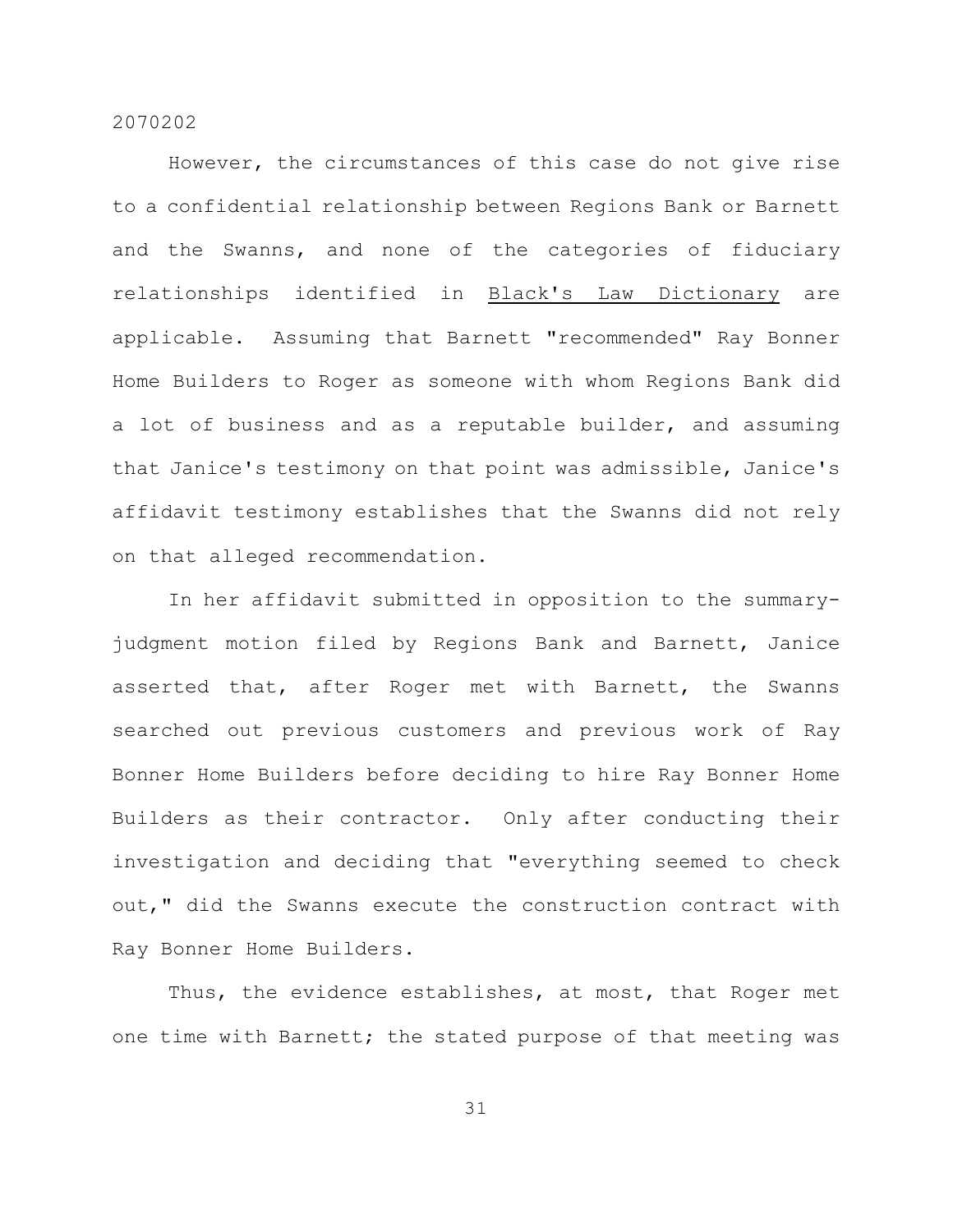However, the circumstances of this case do not give rise to a confidential relationship between Regions Bank or Barnett and the Swanns, and none of the categories of fiduciary relationships identified in Black's Law Dictionary are applicable. Assuming that Barnett "recommended" Ray Bonner Home Builders to Roger as someone with whom Regions Bank did a lot of business and as a reputable builder, and assuming that Janice's testimony on that point was admissible, Janice's affidavit testimony establishes that the Swanns did not rely on that alleged recommendation.

In her affidavit submitted in opposition to the summaryjudgment motion filed by Regions Bank and Barnett, Janice asserted that, after Roger met with Barnett, the Swanns searched out previous customers and previous work of Ray Bonner Home Builders before deciding to hire Ray Bonner Home Builders as their contractor. Only after conducting their investigation and deciding that "everything seemed to check out," did the Swanns execute the construction contract with Ray Bonner Home Builders.

Thus, the evidence establishes, at most, that Roger met one time with Barnett; the stated purpose of that meeting was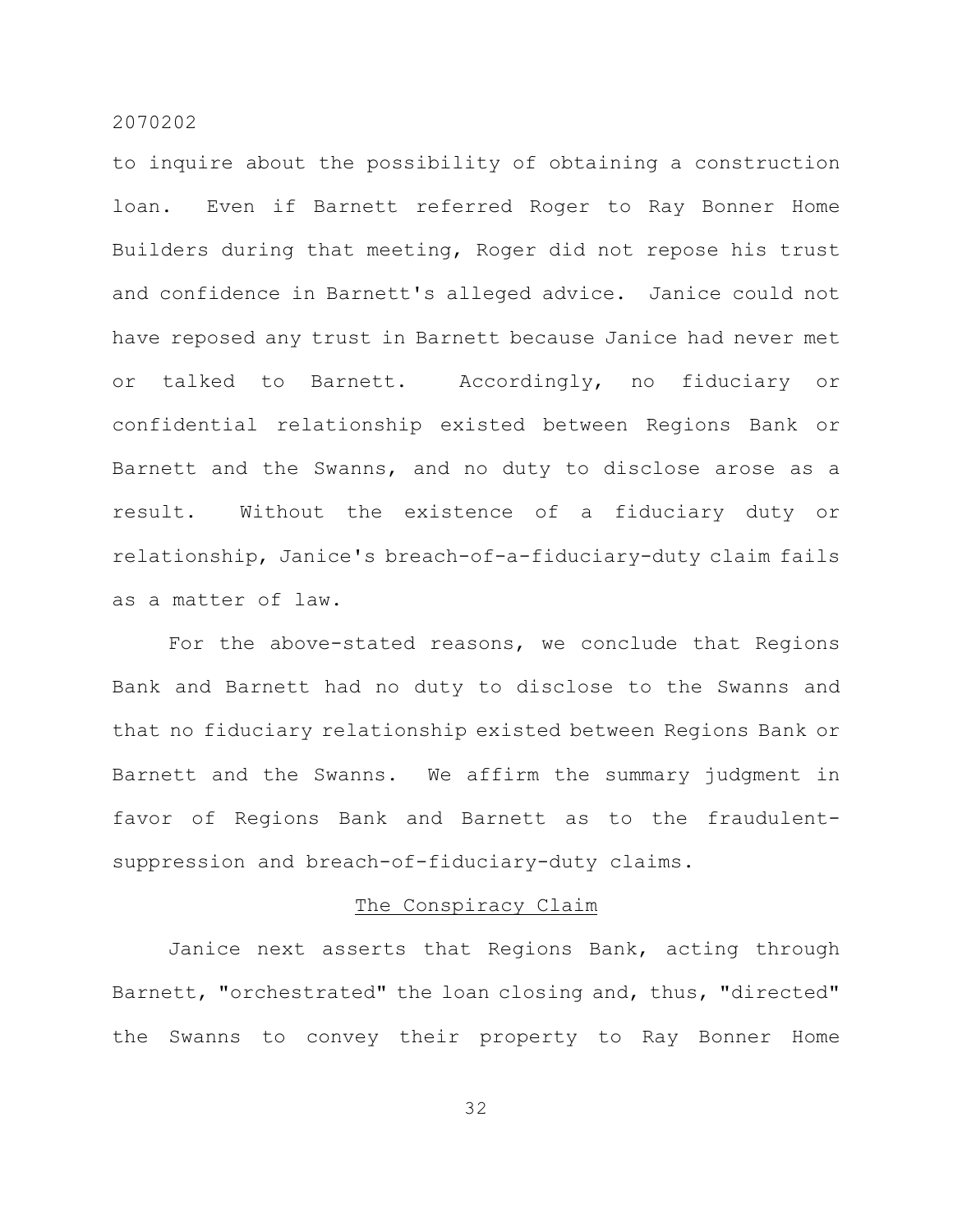to inquire about the possibility of obtaining a construction loan. Even if Barnett referred Roger to Ray Bonner Home Builders during that meeting, Roger did not repose his trust and confidence in Barnett's alleged advice. Janice could not have reposed any trust in Barnett because Janice had never met or talked to Barnett. Accordingly, no fiduciary or confidential relationship existed between Regions Bank or Barnett and the Swanns, and no duty to disclose arose as a result. Without the existence of a fiduciary duty or relationship, Janice's breach-of-a-fiduciary-duty claim fails as a matter of law.

For the above-stated reasons, we conclude that Regions Bank and Barnett had no duty to disclose to the Swanns and that no fiduciary relationship existed between Regions Bank or Barnett and the Swanns. We affirm the summary judgment in favor of Regions Bank and Barnett as to the fraudulentsuppression and breach-of-fiduciary-duty claims.

#### The Conspiracy Claim

Janice next asserts that Regions Bank, acting through Barnett, "orchestrated" the loan closing and, thus, "directed" the Swanns to convey their property to Ray Bonner Home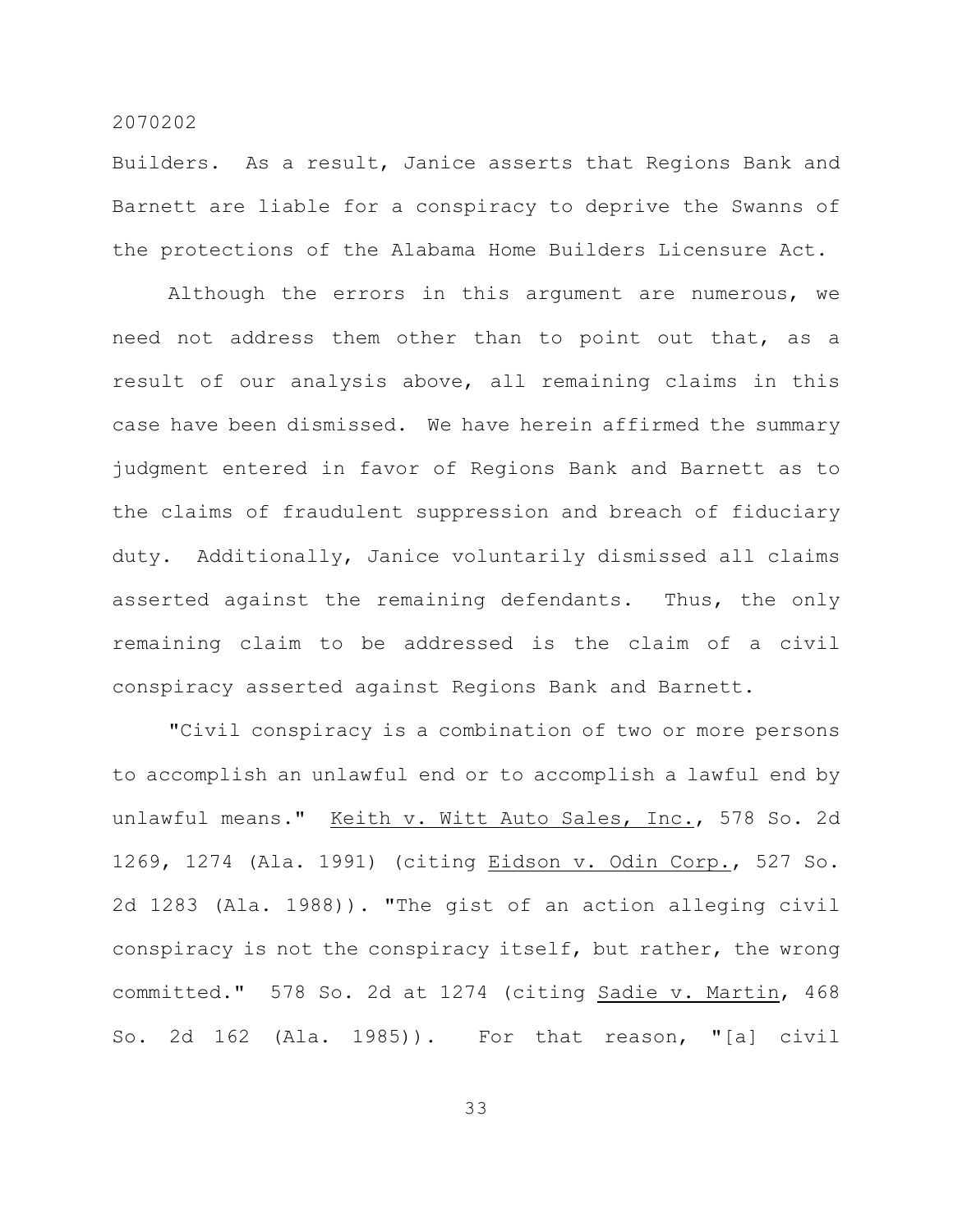Builders. As a result, Janice asserts that Regions Bank and Barnett are liable for a conspiracy to deprive the Swanns of the protections of the Alabama Home Builders Licensure Act.

Although the errors in this argument are numerous, we need not address them other than to point out that, as a result of our analysis above, all remaining claims in this case have been dismissed. We have herein affirmed the summary judgment entered in favor of Regions Bank and Barnett as to the claims of fraudulent suppression and breach of fiduciary duty. Additionally, Janice voluntarily dismissed all claims asserted against the remaining defendants. Thus, the only remaining claim to be addressed is the claim of a civil conspiracy asserted against Regions Bank and Barnett.

"Civil conspiracy is a combination of two or more persons to accomplish an unlawful end or to accomplish a lawful end by unlawful means." Keith v. Witt Auto Sales, Inc., 578 So. 2d 1269, 1274 (Ala. 1991) (citing Eidson v. Odin Corp., 527 So. 2d 1283 (Ala. 1988)). "The gist of an action alleging civil conspiracy is not the conspiracy itself, but rather, the wrong committed." 578 So. 2d at 1274 (citing Sadie v. Martin, 468 So. 2d 162 (Ala. 1985)). For that reason, "[a] civil